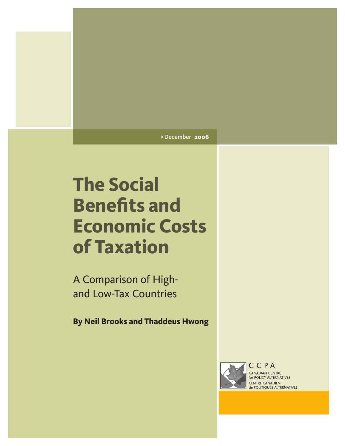#### > December **2006**

# **The Social Benefits and Economic Costs of Taxation**

A Comparison of Highand Low-Tax Countries

**By Neil Brooks and Thaddeus Hwong**



CANADIAN CENTRE for POLICY ALTERNATIVES **CENTRE CANADIEN** de POLITIQUES ALTERNATIVES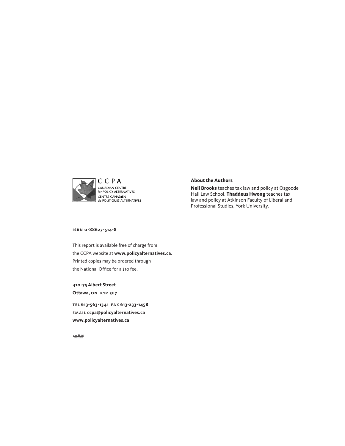

#### **About the Authors**

**Neil Brooks** teaches tax law and policy at Osgoode Hall Law School. **Thaddeus Hwong** teaches tax law and policy at Atkinson Faculty of Liberal and Professional Studies, York University.

**isbn 0-88627-514-8**

This report is available free of charge from the CCPA website at **<www.policyalternatives.ca>**. Printed copies may be ordered through the National Office for a \$10 fee.

**410-75 Albert Street Ottawa, on k1p 5e7**

tel **613-563-1341**  fa x **613-233-1458** email **ccpa@policyalternatives.ca <www.policyalternatives.ca>**

 $CAW$  567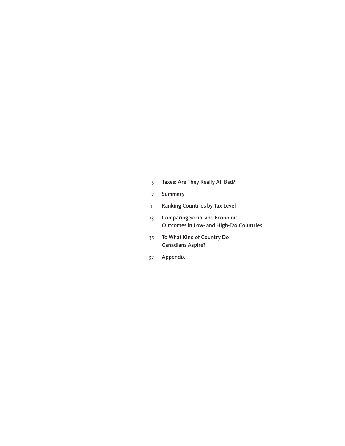- [Taxes:](#page-4-0) Are They Really All Bad?
- [Summary](#page-6-0)
- Ranking [Countries](#page-10-0) by Tax Level
- [Comparing](#page-12-0) Social and Economic [Outcomes](#page-12-0) in Low- and High-Tax Countries
- To What Kind of [Country](#page-34-0) Do [Canadians](#page-34-0) Aspire?
- Appendix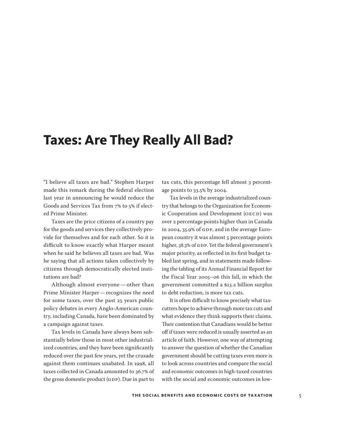## <span id="page-4-0"></span>**Taxes: Are They Really All Bad?**

"I believe all taxes are bad." Stephen Harper made this remark during the federal election last year in announcing he would reduce the Goods and Services Tax from 7% to 5% if elected Prime Minister.

Taxes are the price citizens of a country pay for the goods and services they collectively provide for themselves and for each other. So it is difficult to know exactly what Harper meant when he said he believes all taxes are bad. Was he saying that all actions taken collectively by citizens through democratically elected institutions are bad?

Although almost everyone—other than Prime Minister Harper—recognizes the need for some taxes, over the past 25 years public policy debates in every Anglo-American country, including Canada, have been dominated by a campaign against taxes.

Tax levels in Canada have always been substantially below those in most other industrialized countries, and they have been significantly reduced over the past few years, yet the crusade against them continues unabated. In 1998, all taxes collected in Canada amounted to 36.7% of the gross domestic product (GDP). Due in part to

tax cuts, this percentage fell almost 3 percentage points to 33.5% by 2004.

Tax levels in the average industrialized country that belongs to the Organization for Economic Cooperation and Development (OECD) was over 2 percentage points higher than in Canada in 2004, 35.9% of GDP, and in the average European country it was almost 5 percentage points higher, 38.3% of GDP. Yet the federal government's major priority, as reflected in its first budget tabled last spring, and in statements made following the tabling of its Annual Financial Report for the Fiscal Year 2005–06 this fall, in which the government committed a \$13.2 billion surplus to debt reduction, is more tax cuts.

It is often difficult to know precisely what taxcutters hope to achieve through more tax cuts and what evidence they think supports their claims. Their contention that Canadians would be better off if taxes were reduced is usually asserted as an article of faith. However, one way of attempting to answer the question of whether the Canadian government should be cutting taxes even more is to look across countries and compare the social and economic outcomes in high-taxed countries with the social and economic outcomes in low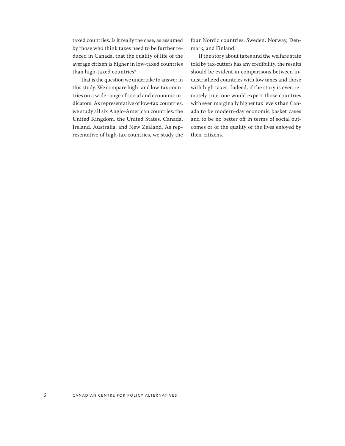taxed countries. Is it really the case, as assumed by those who think taxes need to be further reduced in Canada, that the quality of life of the average citizen is higher in low-taxed countries than high-taxed countries?

That is the question we undertake to answer in this study. We compare high- and low-tax countries on a wide range of social and economic indicators. As representative of low-tax countries, we study all six Anglo-American countries: the United Kingdom, the United States, Canada, Ireland, Australia, and New Zealand. As representative of high-tax countries, we study the four Nordic countries: Sweden, Norway, Denmark, and Finland.

If the story about taxes and the welfare state told by tax-cutters has any credibility, the results should be evident in comparisons between industrialized countries with low taxes and those with high taxes. Indeed, if the story is even remotely true, one would expect those countries with even marginally higher tax levels than Canada to be modern-day economic basket cases and to be no better off in terms of social outcomes or of the quality of the lives enjoyed by their citizens.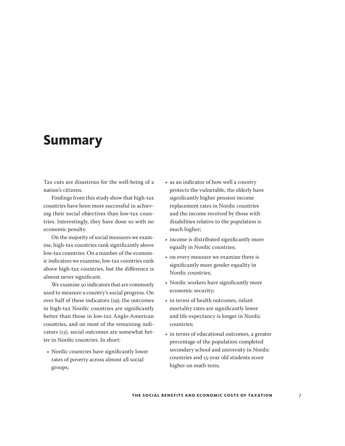## <span id="page-6-0"></span>**Summary**

Tax cuts are disastrous for the well-being of a nation's citizens.

Findings from this study show that high-tax countries have been more successful in achieving their social objectives than low-tax countries. Interestingly, they have done so with no economic penalty.

On the majority of social measures we examine, high-tax countries rank significantly above low-tax countries. On a number of the economic indicators we examine, low-tax countries rank above high-tax countries, but the difference is almost never significant.

We examine 50 indicators that are commonly used to measure a country's social progress. On over half of these indicators (29), the outcomes in high-tax Nordic countries are significantly better than those in low-tax Anglo-American countries, and on most of the remaining indicators (13), social outcomes are somewhat better in Nordic countries. In short:

• Nordic countries have significantly lower rates of poverty across almost all social groups;

- as an indicator of how well a country protects the vulnerable, the elderly have significantly higher pension income replacement rates in Nordic countries and the income received by those with disabilities relative to the population is much higher;
- income is distributed significantly more equally in Nordic countries;
- on every measure we examine there is significantly more gender equality in Nordic countries;
- Nordic workers have significantly more economic security;
- in terms of health outcomes, infant mortality rates are significantly lower and life expectancy is longer in Nordic countries;
- in terms of educational outcomes, a greater percentage of the population completed secondary school and university in Nordic countries and 15-year old students score higher on math tests;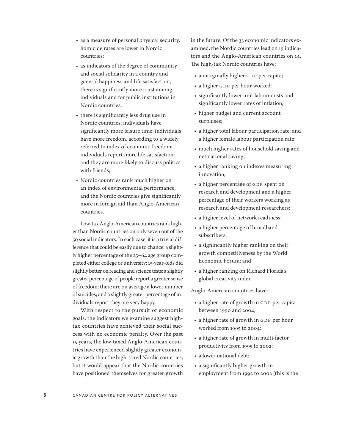- as a measure of personal physical security, homicide rates are lower in Nordic countries;
- as indicators of the degree of community and social solidarity in a country and general happiness and life satisfaction, there is significantly more trust among individuals and for public institutions in Nordic countries;
- there is significantly less drug use in Nordic countries; individuals have significantly more leisure time; individuals have more freedom, according to a widely referred to index of economic freedom; individuals report more life satisfaction; and they are more likely to discuss politics with friends;
- Nordic countries rank much higher on an index of environmental performance, and the Nordic countries give significantly more in foreign aid than Anglo-American countries.

Low-tax Anglo-American countries rank higher than Nordic countries on only seven out of the 50 social indicators. In each case, it is a trivial difference that could be easily due to chance: a slightly higher percentage of the 25–64 age group completed either college or university; 15-year-olds did slightly better on reading and science tests; a slightly greater percentage of people report a greater sense of freedom; there are on average a lower number of suicides; and a slightly greater percentage of individuals report they are very happy.

With respect to the pursuit of economic goals, the indicators we examine suggest hightax countries have achieved their social success with no economic penalty. Over the past 15 years, the low-taxed Anglo-American countries have experienced slightly greater economic growth than the high-taxed Nordic countries, but it would appear that the Nordic countries have positioned themselves for greater growth in the future. Of the 33 economic indicators examined, the Nordic countries lead on 19 indicators and the Anglo-American countries on 14. The high-tax Nordic countries have:

- a marginally higher GDP per capita;
- a higher GDP per hour worked;
- significantly lower unit labour costs and significantly lower rates of inflation;
- higher budget and current account surpluses;
- a higher total labour participation rate, and a higher female labour participation rate;
- much higher rates of household saving and net national saving;
- a higher ranking on indexes measuring innovation;
- a higher percentage of GDP spent on research and development and a higher percentage of their workers working as research and development researchers;
- a higher level of network readiness;
- a higher percentage of broadband subscribers;
- a significantly higher ranking on their growth competitiveness by the World Economic Forum; and
- a higher ranking on Richard Florida's global creativity index.

Anglo-American countries have:

- a higher rate of growth in GDP per capita between 1990 and 2004;
- a higher rate of growth in GDP per hour worked from 1995 to 2004;
- a higher rate of growth in multi-factor productivity from 1995 to 2002;
- a lower national debt:
- a significantly higher growth in employment from 1992 to 2002 (this is the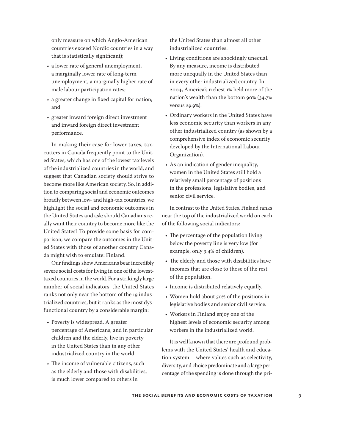only measure on which Anglo-American countries exceed Nordic countries in a way that is statistically significant);

- a lower rate of general unemployment, a marginally lower rate of long-term unemployment, a marginally higher rate of male labour participation rates;
- a greater change in fixed capital formation; and
- greater inward foreign direct investment and inward foreign direct investment performance.

In making their case for lower taxes, taxcutters in Canada frequently point to the United States, which has one of the lowest tax levels of the industrialized countries in the world, and suggest that Canadian society should strive to become more like American society. So, in addition to comparing social and economic outcomes broadly between low- and high-tax countries, we highlight the social and economic outcomes in the United States and ask: should Canadians really want their country to become more like the United States? To provide some basis for comparison, we compare the outcomes in the United States with those of another country Canada might wish to emulate: Finland.

Our findings show Americans bear incredibly severe social costs for living in one of the lowesttaxed countries in the world. For a strikingly large number of social indicators, the United States ranks not only near the bottom of the 19 industrialized countries, but it ranks as the most dysfunctional country by a considerable margin:

- Poverty is widespread. A greater percentage of Americans, and in particular children and the elderly, live in poverty in the United States than in any other industrialized country in the world.
- The income of vulnerable citizens, such as the elderly and those with disabilities, is much lower compared to others in

the United States than almost all other industrialized countries.

- Living conditions are shockingly unequal. By any measure, income is distributed more unequally in the United States than in every other industrialized country. In 2004, America's richest 1% held more of the nation's wealth than the bottom 90% (34.7% versus 29.9%).
- Ordinary workers in the United States have less economic security than workers in any other industrialized country (as shown by a comprehensive index of economic security developed by the International Labour Organization).
- As an indication of gender inequality, women in the United States still hold a relatively small percentage of positions in the professions, legislative bodies, and senior civil service.

In contrast to the United States, Finland ranks near the top of the industrialized world on each of the following social indicators:

- The percentage of the population living below the poverty line is very low (for example, only 3.4% of children).
- The elderly and those with disabilities have incomes that are close to those of the rest of the population.
- Income is distributed relatively equally.
- Women hold about 50% of the positions in legislative bodies and senior civil service.
- Workers in Finland enjoy one of the highest levels of economic security among workers in the industrialized world.

It is well known that there are profound problems with the United States' health and education system—where values such as selectivity, diversity, and choice predominate and a large percentage of the spending is done through the pri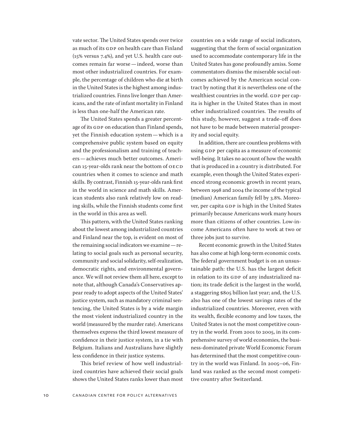vate sector. The United States spends over twice as much of its GDP on health care than Finland (15% versus 7.4%), and yet U.S. health care outcomes remain far worse—indeed, worse than most other industrialized countries. For example, the percentage of children who die at birth in the United States is the highest among industrialized countries. Finns live longer than Americans, and the rate of infant mortality in Finland is less than one-half the American rate.

The United States spends a greater percentage of its GDP on education than Finland spends, yet the Finnish education system—which is a comprehensive public system based on equity and the professionalism and training of teachers—achieves much better outcomes. American 15-year-olds rank near the bottom of OECD countries when it comes to science and math skills. By contrast, Finnish 15-year-olds rank first in the world in science and math skills. American students also rank relatively low on reading skills, while the Finnish students come first in the world in this area as well.

This pattern, with the United States ranking about the lowest among industrialized countries and Finland near the top, is evident on most of the remaining social indicators we examine—relating to social goals such as personal security, community and social solidarity, self-realization, democratic rights, and environmental governance. We will not review them all here, except to note that, although Canada's Conservatives appear ready to adopt aspects of the United States' justice system, such as mandatory criminal sentencing, the United States is by a wide margin the most violent industrialized country in the world (measured by the murder rate). Americans themselves express the third lowest measure of confidence in their justice system, in a tie with Belgium. Italians and Australians have slightly less confidence in their justice systems.

This brief review of how well industrialized countries have achieved their social goals shows the United States ranks lower than most countries on a wide range of social indicators, suggesting that the form of social organization used to accommodate contemporary life in the United States has gone profoundly amiss. Some commentators dismiss the miserable social outcomes achieved by the American social contract by noting that it is nevertheless one of the wealthiest countries in the world. GDP per capita is higher in the United States than in most other industrialized countries. The results of this study, however, suggest a trade-off does not have to be made between material prosperity and social equity.

In addition, there are countless problems with using GDP per capita as a measure of economic well-being. It takes no account of how the wealth that is produced in a country is distributed. For example, even though the United States experienced strong economic growth in recent years, between 1998 and 2004 the income of the typical (median) American family fell by 3.8%. Moreover, per capita GDP is high in the United States primarily because Americans work many hours more than citizens of other countries. Low-income Americans often have to work at two or three jobs just to survive.

Recent economic growth in the United States has also come at high long-term economic costs. The federal government budget is on an unsustainable path: the U.S. has the largest deficit in relation to its GDP of any industrialized nation; its trade deficit is the largest in the world, a staggering \$805 billion last year; and, the U.S. also has one of the lowest savings rates of the industrialized countries. Moreover, even with its wealth, flexible economy and low taxes, the United States is not the most competitive country in the world. From 2001 to 2005, in its comprehensive survey of world economies, the business-dominated private World Economic Forum has determined that the most competitive country in the world was Finland. In 2005–06, Finland was ranked as the second most competitive country after Switzerland.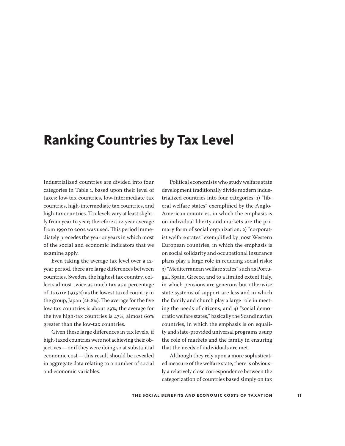## <span id="page-10-0"></span>**Ranking Countries by Tax Level**

Industrialized countries are divided into four categories in Table 1, based upon their level of taxes: low-tax countries, low-intermediate tax countries, high-intermediate tax countries, and high-tax countries. Tax levels vary at least slightly from year to year; therefore a 12-year average from 1990 to 2002 was used. This period immediately precedes the year or years in which most of the social and economic indicators that we examine apply.

Even taking the average tax level over a 12 year period, there are large differences between countries. Sweden, the highest tax country, collects almost twice as much tax as a percentage of its GDP (50.5%) as the lowest taxed country in the group, Japan (26.8%). The average for the five low-tax countries is about 29%; the average for the five high-tax countries is 47%, almost 60% greater than the low-tax countries.

Given these large differences in tax levels, if high-taxed countries were not achieving their objectives—or if they were doing so at substantial economic cost—this result should be revealed in aggregate data relating to a number of social and economic variables.

Political economists who study welfare state development traditionally divide modern industrialized countries into four categories: 1) "liberal welfare states" exemplified by the Anglo-American countries, in which the emphasis is on individual liberty and markets are the primary form of social organization; 2) "corporatist welfare states" exemplified by most Western European countries, in which the emphasis is on social solidarity and occupational insurance plans play a large role in reducing social risks; 3) "Mediterranean welfare states" such as Portugal, Spain, Greece, and to a limited extent Italy, in which pensions are generous but otherwise state systems of support are less and in which the family and church play a large role in meeting the needs of citizens; and 4) "social democratic welfare states," basically the Scandinavian countries, in which the emphasis is on equality and state-provided universal programs usurp the role of markets and the family in ensuring that the needs of individuals are met.

Although they rely upon a more sophisticated measure of the welfare state, there is obviously a relatively close correspondence between the categorization of countries based simply on tax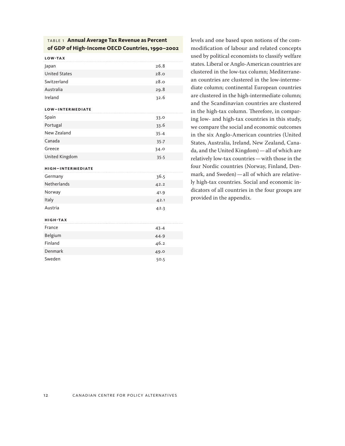#### table 1 **Annual Average Tax Revenue as Percent of GDP of High-Income OECD Countries, 1990–2002**

**low-ta x**

| Japan                | 26.8 |
|----------------------|------|
| <b>United States</b> | 28.0 |
| Switzerland          | 28.0 |
| Australia            | 29.8 |
| Ireland              | 32.6 |

#### **low– inter mediate**

| Spain          | 33.0     |  |
|----------------|----------|--|
| Portugal       | 33.6     |  |
| New Zealand    | 35.4     |  |
| Canada         | $35 - 7$ |  |
| Greece         | 34.0     |  |
| United Kingdom | 35.5     |  |

#### **high – inter mediate**

| Germany            | 36.5 |
|--------------------|------|
| <b>Netherlands</b> | 42.2 |
| Norway             | 41.9 |
| Italy              | 42.1 |
| Austria            | 42.3 |

#### **high -ta x**

| France  | 43.4 |
|---------|------|
| Belgium | 44.9 |
| Finland | 46.2 |
| Denmark | 49.0 |
| Sweden  | 50.5 |

levels and one based upon notions of the commodification of labour and related concepts used by political economists to classify welfare states. Liberal or Anglo-American countries are clustered in the low-tax column; Mediterranean countries are clustered in the low-intermediate column; continental European countries are clustered in the high-intermediate column; and the Scandinavian countries are clustered in the high-tax column. Therefore, in comparing low- and high-tax countries in this study, we compare the social and economic outcomes in the six Anglo-American countries (United States, Australia, Ireland, New Zealand, Canada, and the United Kingdom)—all of which are relatively low-tax countries—with those in the four Nordic countries (Norway, Finland, Denmark, and Sweden)—all of which are relatively high-tax countries. Social and economic indicators of all countries in the four groups are provided in the appendix.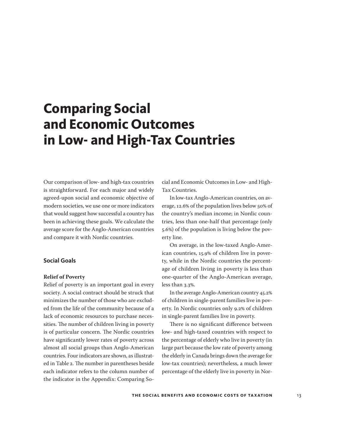<span id="page-12-0"></span>Our comparison of low- and high-tax countries is straightforward. For each major and widely agreed-upon social and economic objective of modern societies, we use one or more indicators that would suggest how successful a country has been in achieving these goals. We calculate the average score for the Anglo-American countries and compare it with Nordic countries.

#### **Social Goals**

#### **Relief of Poverty**

Relief of poverty is an important goal in every society. A social contract should be struck that minimizes the number of those who are excluded from the life of the community because of a lack of economic resources to purchase necessities. The number of children living in poverty is of particular concern. The Nordic countries have significantly lower rates of poverty across almost all social groups than Anglo-American countries. Four indicators are shown, as illustrated in Table 2. The number in parentheses beside each indicator refers to the column number of the indicator in the Appendix: Comparing So-

cial and Economic Outcomes in Low- and High-Tax Countries.

In low-tax Anglo-American countries, on average, 12.6% of the population lives below 50% of the country's median income; in Nordic countries, less than one-half that percentage (only 5.6%) of the population is living below the poverty line.

On average, in the low-taxed Anglo-American countries, 15.9% of children live in poverty, while in the Nordic countries the percentage of children living in poverty is less than one-quarter of the Anglo-American average, less than 3.3%.

In the average Anglo-American country 45.2% of children in single-parent families live in poverty. In Nordic countries only 9.2% of children in single-parent families live in poverty.

There is no significant difference between low- and high-taxed countries with respect to the percentage of elderly who live in poverty (in large part because the low rate of poverty among the elderly in Canada brings down the average for low-tax countries); nevertheless, a much lower percentage of the elderly live in poverty in Nor-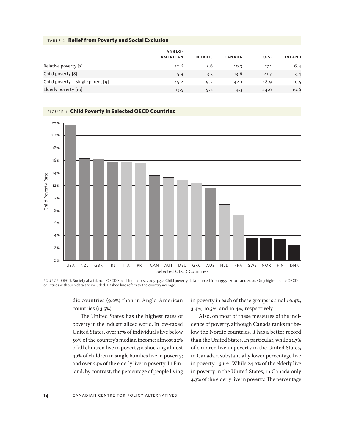#### table 2 **Relief from Poverty and Social Exclusion**

|                                     | ANGLO-          |               |               |      |                |  |
|-------------------------------------|-----------------|---------------|---------------|------|----------------|--|
|                                     | <b>AMERICAN</b> | <b>NORDIC</b> | <b>CANADA</b> | U.S. | <b>FINLAND</b> |  |
| Relative poverty [7]                | 12.6            | 5.6           | 10.3          | 17.1 | 6.4            |  |
| Child poverty [8]                   | 15.9            | 3.3           | 13.6          | 21.7 | 3.4            |  |
| Child poverty $-$ single parent [9] | 45.2            | 9.2           | 42.1          | 48.9 | 10.5           |  |
| Elderly poverty [10]                | 13.5            | 9.2           | 4.3           | 24.6 | 10.6           |  |



#### figure 1 **Child Poverty in Selected OECD Countries**

source OECD, Society at a Glance: OECD Social Indicators, 2005, p.57. Child poverty data sourced from 1999, 2000, and 2001. Only high-income OECD countries with such data are included. Dashed line refers to the country average.

dic countries (9.2%) than in Anglo-American countries (13.5%).

The United States has the highest rates of poverty in the industrialized world. In low-taxed United States, over 17% of individuals live below 50% of the country's median income; almost 22% of all children live in poverty; a shocking almost 49% of children in single families live in poverty; and over 24% of the elderly live in poverty. In Finland, by contrast, the percentage of people living

in poverty in each of these groups is small: 6.4%, 3.4%, 10.5%, and 10.4%, respectively.

Also, on most of these measures of the incidence of poverty, although Canada ranks far below the Nordic countries, it has a better record than the United States. In particular, while 21.7% of children live in poverty in the United States, in Canada a substantially lower percentage live in poverty: 13.6%. While 24.6% of the elderly live in poverty in the United States, in Canada only 4.3% of the elderly live in poverty. The percentage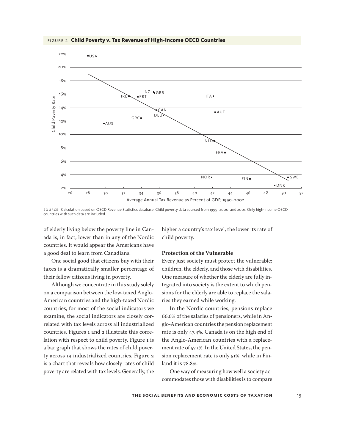

figure 2 **Child Poverty v. Tax Revenue of High-Income OECD Countries**

source Calculation based on OECD Revenue Statistics database. Child poverty data sourced from 1999, 2000, and 2001. Only high-income OECD countries with such data are included.

of elderly living below the poverty line in Canada is, in fact, lower than in any of the Nordic countries. It would appear the Americans have a good deal to learn from Canadians.

One social good that citizens buy with their taxes is a dramatically smaller percentage of their fellow citizens living in poverty.

Although we concentrate in this study solely on a comparison between the low-taxed Anglo-American countries and the high-taxed Nordic countries, for most of the social indicators we examine, the social indicators are closely correlated with tax levels across all industrialized countries. Figures 1 and 2 illustrate this correlation with respect to child poverty. Figure 1 is a bar graph that shows the rates of child poverty across 19 industrialized countries. Figure 2 is a chart that reveals how closely rates of child poverty are related with tax levels. Generally, the higher a country's tax level, the lower its rate of child poverty.

#### **Protection of the Vulnerable**

Every just society must protect the vulnerable: children, the elderly, and those with disabilities. One measure of whether the elderly are fully integrated into society is the extent to which pensions for the elderly are able to replace the salaries they earned while working.

In the Nordic countries, pensions replace 66.6% of the salaries of pensioners, while in Anglo-American countries the pension replacement rate is only 47.4%. Canada is on the high end of the Anglo-American countries with a replacement rate of 57.1%. In the United States, the pension replacement rate is only 51%, while in Finland it is 78.8%.

One way of measuring how well a society accommodates those with disabilities is to compare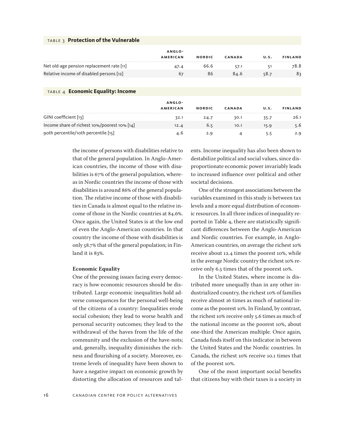#### table 3 **Protection of the Vulnerable**

|                                           | ANGLO-          |               |        |      |                |
|-------------------------------------------|-----------------|---------------|--------|------|----------------|
|                                           | <b>AMERICAN</b> | <b>NORDIC</b> | CANADA | U.S. | <b>FINLAND</b> |
| Net old-age pension replacement rate [11] | 47.4            | 66.6          | 57.1   | 51   | 78.8           |
| Relative income of disabled persons [12]  | 67              | 86            | 84.6   | 58.7 | 83             |
|                                           |                 |               |        |      |                |

#### table 4 **Economic Equality: Income**

|                                              | ANGLO-          |               |        |      |                |
|----------------------------------------------|-----------------|---------------|--------|------|----------------|
|                                              | <b>AMERICAN</b> | <b>NORDIC</b> | CANADA | U.S. | <b>FINLAND</b> |
| GINI coefficient [13]                        | 32.1            | 24.7          | 30.1   | 35.7 | 26.1           |
| Income share of richest 10%/poorest 10% [14] | 12.4            | 6.5           | 10.1   | 15.9 | 5.6            |
| 90th percentile/10th percentile [15]         | 4.6             | 2.9           |        |      | 2.9            |

the income of persons with disabilities relative to that of the general population. In Anglo-American countries, the income of those with disabilities is 67% of the general population, whereas in Nordic countries the income of those with disabilities is around 86% of the general population. The relative income of those with disabilities in Canada is almost equal to the relative income of those in the Nordic countries at 84.6%. Once again, the United States is at the low end of even the Anglo-American countries. In that country the income of those with disabilities is only 58.7% that of the general population; in Finland it is 83%.

#### **Economic Equality**

One of the pressing issues facing every democracy is how economic resources should be distributed. Large economic inequalities hold adverse consequences for the personal well-being of the citizens of a country: Inequalities erode social cohesion; they lead to worse health and personal security outcomes; they lead to the withdrawal of the haves from the life of the community and the exclusion of the have-nots; and, generally, inequality diminishes the richness and flourishing of a society. Moreover, extreme levels of inequality have been shown to have a negative impact on economic growth by distorting the allocation of resources and talents. Income inequality has also been shown to destabilize political and social values, since disproportionate economic power invariably leads to increased influence over political and other societal decisions.

One of the strongest associations between the variables examined in this study is between tax levels and a more equal distribution of economic resources. In all three indices of inequality reported in Table 4, there are statistically significant differences between the Anglo-American and Nordic countries. For example, in Anglo-American countries, on average the richest 10% receive about 12.4 times the poorest 10%, while in the average Nordic country the richest 10% receive only 6.5 times that of the poorest 10%.

In the United States, where income is distributed more unequally than in any other industrialized country, the richest 10% of families receive almost 16 times as much of national income as the poorest 10%. In Finland, by contrast, the richest 10% receive only 5.6 times as much of the national income as the poorest 10%, about one-third the American multiple. Once again, Canada finds itself on this indicator in between the United States and the Nordic countries. In Canada, the richest 10% receive 10.1 times that of the poorest 10%.

One of the most important social benefits that citizens buy with their taxes is a society in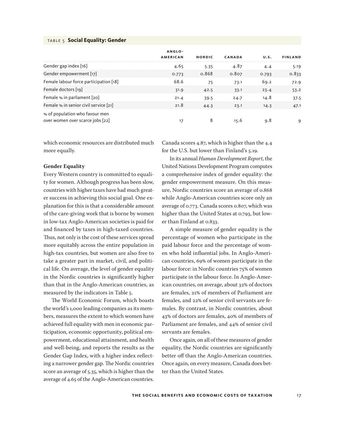#### table 5 **Social Equality: Gender**

|                                        | ANGLO-<br><b>AMERICAN</b> | <b>NORDIC</b> | <b>CANADA</b> | U.S.  | <b>FINLAND</b> |
|----------------------------------------|---------------------------|---------------|---------------|-------|----------------|
|                                        |                           |               |               |       |                |
| Gender gap index $[16]$                | 4.65                      | 5.35          | 4.87          | 4.4   | 5.19           |
| Gender empowerment [17]                | 0.773                     | 0.868         | 0.807         | 0.793 | 0.833          |
| Female labour force participation [18] | 68.6                      | 75            | 73.1          | 69.2  | 72.9           |
| Female doctors [19]                    | 31.9                      | 42.5          | 33.1          | 23.4  | 53.2           |
| Female $\%$ in parliament [20]         | 21.4                      | 39.5          | 24.7          | 14.8  | 37.5           |
| Female % in senior civil service [21]  | 21.8                      | 44.3          | 23.1          | 14.3  | 47.1           |
| % of population who favour men         |                           |               |               |       |                |
| over women over scarce jobs [22]       | 17                        | 8             | 15.6          | 9.8   | 9              |

which economic resources are distributed much more equally.

#### **Gender Equality**

Every Western country is committed to equality for women. Although progress has been slow, countries with higher taxes have had much greater success in achieving this social goal. One explanation for this is that a considerable amount of the care-giving work that is borne by women in low-tax Anglo-American societies is paid for and financed by taxes in high-taxed countries. Thus, not only is the cost of these services spread more equitably across the entire population in high-tax countries, but women are also free to take a greater part in market, civil, and political life. On average, the level of gender equality in the Nordic countries is significantly higher than that in the Anglo-American countries, as measured by the indicators in Table 5.

The World Economic Forum, which boasts the world's 1,000 leading companies as its members, measures the extent to which women have achieved full equality with men in economic participation, economic opportunity, political empowerment, educational attainment, and health and well-being, and reports the results as the Gender Gap Index, with a higher index reflecting a narrower gender gap. The Nordic countries score an average of 5.35, which is higher than the average of 4.65 of the Anglo-American countries.

Canada scores 4.87, which is higher than the 4.4 for the U.S. but lower than Finland's 5.19.

In its annual *Human Development Report*, the United Nations Development Program computes a comprehensive index of gender equality: the gender empowerment measure. On this measure, Nordic countries score an average of 0.868 while Anglo-American countries score only an average of 0.773. Canada scores 0.807, which was higher than the United States at 0.793, but lower than Finland at 0.833.

A simple measure of gender equality is the percentage of women who participate in the paid labour force and the percentage of women who hold influential jobs. In Anglo-American countries, 69% of women participate in the labour force: in Nordic countries 75% of women participate in the labour force. In Anglo-American countries, on average, about 32% of doctors are females, 21% of members of Parliament are females, and 22% of senior civil servants are females. By contrast, in Nordic countries, about 43% of doctors are females, 40% of members of Parliament are females, and 44% of senior civil servants are females.

Once again, on all of these measures of gender equality, the Nordic countries are significantly better off than the Anglo-American countries. Once again, on every measure, Canada does better than the United States.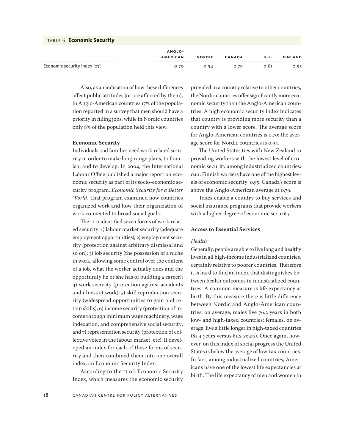|  | TABLE 6 Economic Security |  |
|--|---------------------------|--|
|--|---------------------------|--|

|                              | ANGLO-          |               |               |      |                |
|------------------------------|-----------------|---------------|---------------|------|----------------|
|                              | <b>AMERICAN</b> | <b>NORDIC</b> | <b>CANADA</b> | U.S. | <b>FINLAND</b> |
| Economic security index [23] | 0.70            | 0.94          | 0.79          | 0.61 | 0.95           |

Also, as an indication of how these differences affect public attitudes (or are affected by them), in Anglo-American countries 17% of the population reported in a survey that men should have a priority in filling jobs, while in Nordic countries only 8% of the population held this view.

#### **Economic Security**

Individuals and families need work-related security in order to make long-range plans, to flourish, and to develop. In 2004, the International Labour Office published a major report on economic security as part of its socio-economic security program, *Economic Security for a Better World*. That program examined how countries organized work and how their organization of work connected to broad social goals.

The ILO identified seven forms of work-related security: 1) labour market security (adequate employment opportunities); 2) employment security (protection against arbitrary dismissal and so on); 3) job security (the possession of a niche in work, allowing some control over the content of a job, what the worker actually does and the opportunity he or she has of building a career); 4) work security (protection against accidents and illness at work); 5) skill reproduction security (widespread opportunities to gain and retain skills); 6) income security (protection of income through minimum wage machinery, wage indexation, and comprehensive social security; and 7) representation security (protection of collective voice in the labour market, etc). It developed an index for each of these forms of security and then combined them into one overall index: an Economic Security Index.

According to the ILO's Economic Security Index, which measures the economic security provided in a country relative to other countries, the Nordic countries offer significantly more economic security than the Anglo-American countries. A high economic security index indicates that country is providing more security than a country with a lower score. The average score for Anglo-American countries is 0.70; the average score for Nordic countries is 0.94.

The United States ties with New Zealand in providing workers with the lowest level of economic security among industrialized countries: 0.61. Finnish workers have one of the highest levels of economic security: 0.95. Canada's score is above the Anglo-American average at 0.79.

Taxes enable a country to buy services and social insurance programs that provide workers with a higher degree of economic security.

#### **Access to Essential Services**

#### *Health*

Generally, people are able to live long and healthy lives in all high-income industrialized countries, certainly relative to poorer countries. Therefore it is hard to find an index that distinguishes between health outcomes in industrialized countries. A common measure is life expectancy at birth. By this measure there is little difference between Nordic and Anglo-American countries: on average, males live 76.2 years in both low- and high-taxed countries; females, on average, live a little longer in high-taxed countries (81.4 years versus 81.2 years). Once again, however, on this index of social progress the United States is below the average of low-tax countries. In fact, among industrialized countries, Americans have one of the lowest life expectancies at birth. The life expectancy of men and women in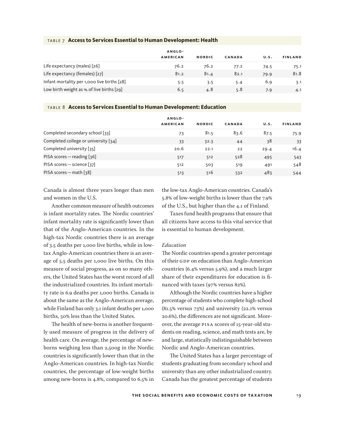|  |  |  |  |  | TABLE 7 Access to Services Essential to Human Development: Health |  |
|--|--|--|--|--|-------------------------------------------------------------------|--|
|--|--|--|--|--|-------------------------------------------------------------------|--|

|                                             | ANGLO-          |               |               |      |                |
|---------------------------------------------|-----------------|---------------|---------------|------|----------------|
|                                             | <b>AMERICAN</b> | <b>NORDIC</b> | <b>CANADA</b> | U.S. | <b>FINLAND</b> |
| Life expectancy (males) [26]                | 76.2            | 76.2          | 77.2          | 74.5 | 75.1           |
| Life expectancy (females) [27]              | 81.2            | 81.4          | 82.1          | 79.9 | 81.8           |
| Infant mortality per 1,000 live births [28] | 5.5             | 3.5           | 5.4           | 6.9  | 3.1            |
| Low birth weight as $%$ of live births [29] | 6.5             | 4.8           | 5.8           | 7.9  | 4.1            |

#### table 8 **Access to Services Essential to Human Development: Education**

|                                      | ANGLO-          |               |        |      |                |
|--------------------------------------|-----------------|---------------|--------|------|----------------|
|                                      | <b>AMERICAN</b> | <b>NORDIC</b> | CANADA | U.S. | <b>FINLAND</b> |
| Completed secondary school [33]      | 73              | 81.5          | 83.6   | 87.5 | 75.9           |
| Completed college or university [34] | 33              | 32.3          | 44     | 38   | 33             |
| Completed university [35]            | 20.6            | 22.1          | 22     | 29.4 | 16.4           |
| PISA scores – reading [36]           | 517             | 512           | 528    | 495  | 543            |
| PISA scores - science [37]           | 512             | 503           | 519    | 491  | 548            |
| PISA scores – math [38]              | 513             | 516           | 532    | 483  | 544            |

Canada is almost three years longer than men and women in the U.S.

Another common measure of health outcomes is infant mortality rates. The Nordic countries' infant mortality rate is significantly lower than that of the Anglo-American countries. In the high-tax Nordic countries there is an average of 3.5 deaths per 1,000 live births, while in lowtax Anglo-American countries there is an average of 5.5 deaths per 1,000 live births. On this measure of social progress, as on so many others, the United States has the worst record of all the industrialized countries. Its infant mortality rate is 6.9 deaths per 1,000 births. Canada is about the same as the Anglo-American average, while Finland has only 3.1 infant deaths per 1,000 births, 50% less than the United States.

The health of new-borns is another frequently used measure of progress in the delivery of health care. On average, the percentage of newborns weighing less than 2,500g in the Nordic countries is significantly lower than that in the Anglo-American countries. In high-tax Nordic countries, the percentage of low-weight births among new-borns is 4.8%, compared to 6.5% in

the low-tax Anglo-American countries. Canada's 5.8% of low-weight births is lower than the 7.9% of the U.S., but higher than the 4.1 of Finland.

Taxes fund health programs that ensure that all citizens have access to this vital service that is essential to human development.

#### *Education*

The Nordic countries spend a greater percentage of their GDP on education than Anglo-American countries (6.4% versus 5.9%), and a much larger share of their expenditures for education is financed with taxes (97% versus 82%).

Although the Nordic countries have a higher percentage of students who complete high-school (81.5% versus 73%) and university (22.1% versus 20.6%), the differences are not significant. Moreover, the average PISA scores of 15-year-old students on reading, science, and math tests are, by and large, statistically indistinguishable between Nordic and Anglo-American countries.

The United States has a larger percentage of students graduating from secondary school and university than any other industrialized country. Canada has the greatest percentage of students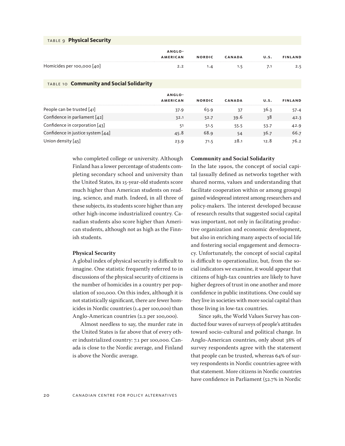| TABLE 9 Physical Security                |                           |               |               |      |                |
|------------------------------------------|---------------------------|---------------|---------------|------|----------------|
|                                          | ANGLO-<br><b>AMERICAN</b> | <b>NORDIC</b> | <b>CANADA</b> | U.S. | <b>FINLAND</b> |
| Homicides per 100,000 $[40]$             | 2.2                       | 1.4           | 1.5           | 7.1  | 2.5            |
| TABLE 10 Community and Social Solidarity |                           |               |               |      |                |
|                                          | ANGLO-<br><b>AMERICAN</b> | <b>NORDIC</b> | <b>CANADA</b> | U.S. | <b>FINLAND</b> |
| People can be trusted $[41]$             | 37.9                      | 63.9          | 37            | 36.3 | 57.4           |
| Confidence in parliament [42]            | 32.1                      | 52.7          | 39.6          | 38   | 42.3           |
| Confidence in corporation $[43]$         | 51                        | 51.5          | 55.5          | 53.7 | 42.9           |

Confidence in justice system  $[44]$  45.8 68.9 54 36.7 66.7 66.7 Union density [45] 23.9 28.1 12.8 76.2

> who completed college or university. Although Finland has a lower percentage of students completing secondary school and university than the United States, its 15-year-old students score much higher than American students on reading, science, and math. Indeed, in all three of these subjects, its students score higher than any other high-income industrialized country. Canadian students also score higher than American students, although not as high as the Finnish students.

#### **Physical Security**

A global index of physical security is difficult to imagine. One statistic frequently referred to in discussions of the physical security of citizens is the number of homicides in a country per population of 100,000. On this index, although it is not statistically significant, there are fewer homicides in Nordic countries (1.4 per 100,000) than Anglo-American countries (2.2 per 100,000).

Almost needless to say, the murder rate in the United States is far above that of every other industrialized country: 7.1 per 100,000. Canada is close to the Nordic average, and Finland is above the Nordic average.

#### **Community and Social Solidarity**

In the late 1990s, the concept of social capital (usually defined as networks together with shared norms, values and understanding that facilitate cooperation within or among groups) gained widespread interest among researchers and policy-makers. The interest developed because of research results that suggested social capital was important, not only in facilitating productive organization and economic development, but also in enriching many aspects of social life and fostering social engagement and democracy. Unfortunately, the concept of social capital is difficult to operationalize, but, from the social indicators we examine, it would appear that citizens of high-tax countries are likely to have higher degrees of trust in one another and more confidence in public institutions. One could say they live in societies with more social capital than those living in low-tax countries.

Since 1981, the World Values Survey has conducted four waves of surveys of people's attitudes toward socio-cultural and political change. In Anglo-American countries, only about 38% of survey respondents agree with the statement that people can be trusted, whereas 64% of survey respondents in Nordic countries agree with that statement. More citizens in Nordic countries have confidence in Parliament (52.7% in Nordic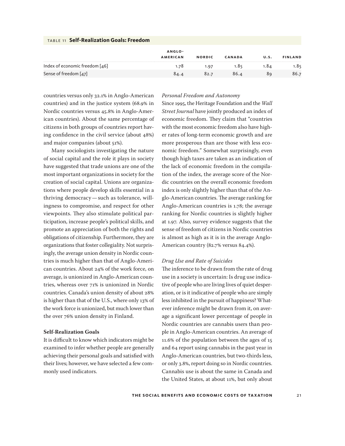|                                | ANGLO-          |               |               |      |                |
|--------------------------------|-----------------|---------------|---------------|------|----------------|
|                                | <b>AMERICAN</b> | <b>NORDIC</b> | <b>CANADA</b> | U.S. | <b>FINLAND</b> |
| Index of economic freedom [46] | 1.78            | 1.97          | 1.85          | 1.8⊿ | 1.85           |
| Sense of freedom [47]          | 84.4            | 82.7          | 86.4          | 89   | 86.7           |

#### table 11 **Self-Realization Goals: Freedom**

countries versus only 32.1% in Anglo-American countries) and in the justice system (68.9% in Nordic countries versus 45.8% in Anglo-American countries). About the same percentage of citizens in both groups of countries report having confidence in the civil service (about 48%) and major companies (about 51%).

Many sociologists investigating the nature of social capital and the role it plays in society have suggested that trade unions are one of the most important organizations in society for the creation of social capital. Unions are organizations where people develop skills essential in a thriving democracy—such as tolerance, willingness to compromise, and respect for other viewpoints. They also stimulate political participation, increase people's political skills, and promote an appreciation of both the rights and obligations of citizenship. Furthermore, they are organizations that foster collegiality. Not surprisingly, the average union density in Nordic countries is much higher than that of Anglo-American countries. About 24% of the work force, on average, is unionized in Anglo-American countries, whereas over 71% is unionized in Nordic countries. Canada's union density of about 28% is higher than that of the U.S., where only 13% of the work force is unionized, but much lower than the over 76% union density in Finland.

#### **Self-Realization Goals**

It is difficult to know which indicators might be examined to infer whether people are generally achieving their personal goals and satisfied with their lives; however, we have selected a few commonly used indicators.

#### *Personal Freedom and Autonomy*

Since 1995, the Heritage Foundation and the *Wall Street Journal* have jointly produced an index of economic freedom. They claim that "countries with the most economic freedom also have higher rates of long-term economic growth and are more prosperous than are those with less economic freedom." Somewhat surprisingly, even though high taxes are taken as an indication of the lack of economic freedom in the compilation of the index, the average score of the Nordic countries on the overall economic freedom index is only slightly higher than that of the Anglo-American countries. The average ranking for Anglo-American countries is 1.78; the average ranking for Nordic countries is slightly higher at 1.97. Also, survey evidence suggests that the sense of freedom of citizens in Nordic countries is almost as high as it is in the average Anglo-American country (82.7% versus 84.4%).

#### *Drug Use and Rate of Suicides*

The inference to be drawn from the rate of drug use in a society is uncertain: Is drug use indicative of people who are living lives of quiet desperation, or is it indicative of people who are simply less inhibited in the pursuit of happiness? Whatever inference might be drawn from it, on average a significant lower percentage of people in Nordic countries are cannabis users than people in Anglo-American countries. An average of 11.6% of the population between the ages of 15 and 64 report using cannabis in the past year in Anglo-American countries, but two-thirds less, or only 3.8%, report doing so in Nordic countries. Cannabis use is about the same in Canada and the United States, at about 11%, but only about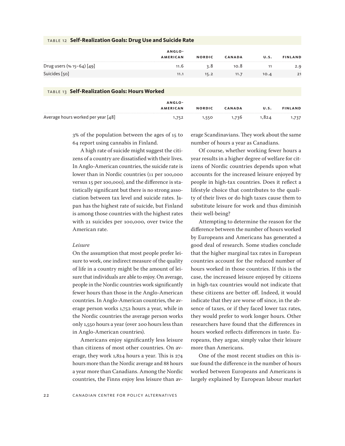|                                               | ANGLO-<br><b>AMERICAN</b> | <b>NORDIC</b> | <b>CANADA</b> | U.S. | <b>FINLAND</b> |
|-----------------------------------------------|---------------------------|---------------|---------------|------|----------------|
|                                               |                           |               |               |      |                |
| Drug users $(* 15 - 64) [49]$                 | 11.6                      | 3.8           | 10.8          | 11   | 2.9            |
| Suicides [50]                                 | 11.1                      | 15.2          | 11.7          | 10.4 | 21             |
|                                               |                           |               |               |      |                |
| TABLE 13 Self-Realization Goals: Hours Worked |                           |               |               |      |                |

#### table 12 **Self-Realization Goals: Drug Use and Suicide Rate**

|                                    | ANGLO-          |               |               |       |                |
|------------------------------------|-----------------|---------------|---------------|-------|----------------|
|                                    | <b>AMERICAN</b> | <b>NORDIC</b> | <b>CANADA</b> | U.S.  | <b>FINLAND</b> |
|                                    |                 |               |               |       |                |
| Average hours worked per year [48] | 1,752           | 1,550         | 1.736         | 1,824 | 1,737          |

3% of the population between the ages of 15 to 64 report using cannabis in Finland.

A high rate of suicide might suggest the citizens of a country are dissatisfied with their lives. In Anglo-American countries, the suicide rate is lower than in Nordic countries (11 per 100,000 versus 15 per 100,000), and the difference is statistically significant but there is no strong association between tax level and suicide rates. Japan has the highest rate of suicide, but Finland is among those countries with the highest rates with 21 suicides per 100,000, over twice the American rate.

#### *Leisure*

On the assumption that most people prefer leisure to work, one indirect measure of the quality of life in a country might be the amount of leisure that individuals are able to enjoy. On average, people in the Nordic countries work significantly fewer hours than those in the Anglo-American countries. In Anglo-American countries, the average person works 1,752 hours a year, while in the Nordic countries the average person works only 1,550 hours a year (over 200 hours less than in Anglo-American countries).

Americans enjoy significantly less leisure than citizens of most other countries. On average, they work 1,824 hours a year. This is 274 hours more than the Nordic average and 88 hours a year more than Canadians. Among the Nordic countries, the Finns enjoy less leisure than average Scandinavians. They work about the same number of hours a year as Canadians.

Of course, whether working fewer hours a year results in a higher degree of welfare for citizens of Nordic countries depends upon what accounts for the increased leisure enjoyed by people in high-tax countries. Does it reflect a lifestyle choice that contributes to the quality of their lives or do high taxes cause them to substitute leisure for work and thus diminish their well-being?

Attempting to determine the reason for the difference between the number of hours worked by Europeans and Americans has generated a good deal of research. Some studies conclude that the higher marginal tax rates in European countries account for the reduced number of hours worked in those countries. If this is the case, the increased leisure enjoyed by citizens in high-tax countries would not indicate that these citizens are better off. Indeed, it would indicate that they are worse off since, in the absence of taxes, or if they faced lower tax rates, they would prefer to work longer hours. Other researchers have found that the differences in hours worked reflects differences in taste. Europeans, they argue, simply value their leisure more than Americans.

One of the most recent studies on this issue found the difference in the number of hours worked between Europeans and Americans is largely explained by European labour market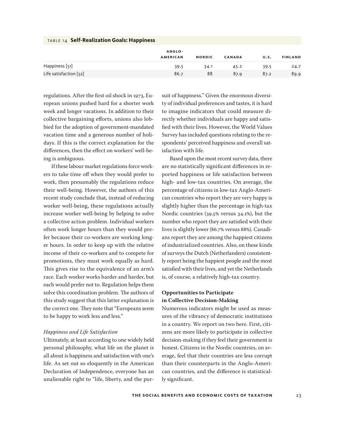| $17011$ $14$ still intermediate soulselles plates |                 |               |               |      |                |  |  |
|---------------------------------------------------|-----------------|---------------|---------------|------|----------------|--|--|
|                                                   | ANGLO-          |               |               |      |                |  |  |
|                                                   | <b>AMERICAN</b> | <b>NORDIC</b> | <b>CANADA</b> | U.S. | <b>FINLAND</b> |  |  |
| Happiness [51]                                    | 39.5            | 34.1          | 45.2          | 39.5 | 24.7           |  |  |
| Life satisfaction $[52]$                          | 86.7            | 88            | 87.9          | 87.2 | 89.9           |  |  |

regulations. After the first oil shock in 1973, European unions pushed hard for a shorter work week and longer vacations. In addition to their collective bargaining efforts, unions also lobbied for the adoption of government-mandated vacation time and a generous number of holidays. If this is the correct explanation for the differences, then the effect on workers' well-being is ambiguous.

table 14 **Self-Realization Goals: Happiness**

If these labour market regulations force workers to take time off when they would prefer to work, then presumably the regulations reduce their well-being. However, the authors of this recent study conclude that, instead of reducing worker well-being, these regulations actually increase worker well-being by helping to solve a collective action problem. Individual workers often work longer hours than they would prefer because their co-workers are working longer hours. In order to keep up with the relative income of their co-workers and to compete for promotions, they must work equally as hard. This gives rise to the equivalence of an arm's race. Each worker works harder and harder, but each would prefer not to. Regulation helps them solve this coordination problem. The authors of this study suggest that this latter explanation is the correct one. They note that "Europeans seem to be happy to work less and less."

#### *Happiness and Life Satisfaction*

Ultimately, at least according to one widely held personal philosophy, what life on the planet is all about is happiness and satisfaction with one's life. As set out so eloquently in the American Declaration of Independence, everyone has an unalienable right to "life, liberty, and the pursuit of happiness." Given the enormous diversity of individual preferences and tastes, it is hard to imagine indicators that could measure directly whether individuals are happy and satisfied with their lives. However, the World Values Survey has included questions relating to the respondents' perceived happiness and overall satisfaction with life.

Based upon the most recent survey data, there are no statistically significant differences in reported happiness or life satisfaction between high- and low-tax countries. On average, the percentage of citizens in low-tax Anglo-American countries who report they are very happy is slightly higher than the percentage in high-tax Nordic countries (39.5% versus 34.1%), but the number who report they are satisfied with their lives is slightly lower (86.7% versus 88%). Canadians report they are among the happiest citizens of industrialized countries. Also, on these kinds of surveys the Dutch (Netherlanders) consistently report being the happiest people and the most satisfied with their lives, and yet the Netherlands is, of course, a relatively high-tax country.

#### **Opportunities to Participate in Collective Decision-Making**

Numerous indicators might be used as measures of the vibrancy of democratic institutions in a country. We report on two here. First, citizens are more likely to participate in collective decision-making if they feel their government is honest. Citizens in the Nordic countries, on average, feel that their countries are less corrupt than their counterparts in the Anglo-American countries, and the difference is statistically significant.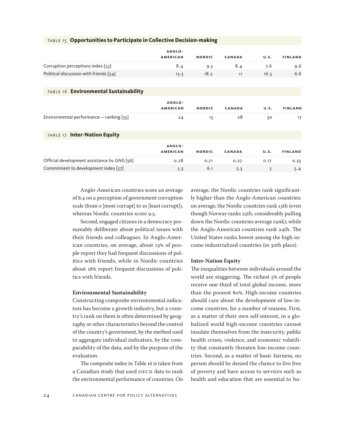|                                              | ANGLO-<br><b>AMERICAN</b> | <b>NORDIC</b> | <b>CANADA</b> | U.S. | <b>FINLAND</b> |
|----------------------------------------------|---------------------------|---------------|---------------|------|----------------|
|                                              |                           |               |               |      |                |
| Corruption perceptions index [53]            | 8.4                       | 9.3           | 8.4           | 7.6  | 9.6            |
| Political discussion with friends $[54]$     | 13.3                      | 18.2          | 11            | 16.3 | 6.6            |
|                                              |                           |               |               |      |                |
| TABLE 16 Environmental Sustainability        |                           |               |               |      |                |
|                                              | ANGLO-                    |               |               |      |                |
|                                              | <b>AMERICAN</b>           | <b>NORDIC</b> | <b>CANADA</b> | U.S. | <b>FINLAND</b> |
| Environmental performance - ranking [55]     | 24                        | 13            | 28            | 30   | 17             |
|                                              |                           |               |               |      |                |
| TABLE 17 Inter-Nation Equity                 |                           |               |               |      |                |
|                                              | ANGLO-                    |               |               |      |                |
|                                              | <b>AMERICAN</b>           | <b>NORDIC</b> | CANADA        | U.S. | <b>FINLAND</b> |
| Official development assistance (% GNI) [56] | 0.28                      | 0.71          | 0.27          | 0.17 | 0.35           |
| Commitment to development index [57]         | 5.3                       | 6.1           | 5.3           | 5    | 5.4            |

#### table 15 **Opportunities to Participate in Collective Decision-making**

Anglo-American countries score an average of 8.4 on a perception of government corruption scale (from 0 [most corrupt] to 10 [least corrupt]), whereas Nordic countries score 9.3.

Second, engaged citizens in a democracy presumably deliberate about political issues with their friends and colleagues. In Anglo-American countries, on average, about 13% of people report they had frequent discussions of politics with friends, while in Nordic countries about 18% report frequent discussions of politics with friends.

#### **Environmental Sustainability**

Constructing composite environmental indicators has become a growth industry, but a country's rank on them is often determined by geography or other characteristics beyond the control of the country's government, by the method used to aggregate individual indicators, by the comparability of the data, and by the purpose of the evaluation.

The composite index in Table 16 is taken from a Canadian study that used OECD data to rank the environmental performance of countries. On average, the Nordic countries rank significantly higher than the Anglo-American countries: on average, the Nordic countries rank 13th (even though Norway ranks 25th, considerably pulling down the Nordic countries average rank); while the Anglo-American countries rank 24th. The United States ranks lowest among the high-income industrialized countries (in 30th place).

#### **Inter-Nation Equity**

The inequalities between individuals around the world are staggering. The richest 5% of people receive one-third of total global income, more than the poorest 80%. High-income countries should care about the development of low-income countries, for a number of reasons. First, as a matter of their own self-interest, in a globalized world high-income countries cannot insulate themselves from the insecurity, public health crises, violence, and economic volatility that constantly threaten low-income countries. Second, as a matter of basic fairness, no person should be denied the chance to live free of poverty and have access to services such as health and education that are essential to hu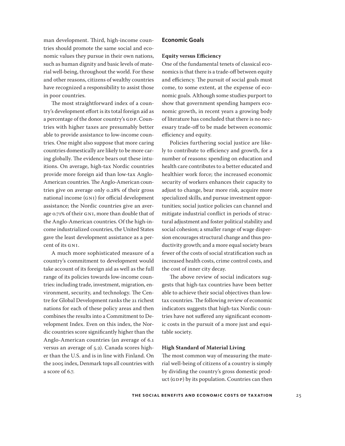man development. Third, high-income countries should promote the same social and economic values they pursue in their own nations, such as human dignity and basic levels of material well-being, throughout the world. For these and other reasons, citizens of wealthy countries have recognized a responsibility to assist those in poor countries.

The most straightforward index of a country's development effort is its total foreign aid as a percentage of the donor country's GDP. Countries with higher taxes are presumably better able to provide assistance to low-income countries. One might also suppose that more caring countries domestically are likely to be more caring globally. The evidence bears out these intuitions. On average, high-tax Nordic countries provide more foreign aid than low-tax Anglo-American countries. The Anglo-American countries give on average only 0.28% of their gross national income (GNI) for official development assistance; the Nordic countries give an average 0.71% of their GNI, more than double that of the Anglo-American countries. Of the high-income industrialized countries, the United States gave the least development assistance as a percent of its GNI.

A much more sophisticated measure of a country's commitment to development would take account of its foreign aid as well as the full range of its policies towards low-income countries: including trade, investment, migration, environment, security, and technology. The Centre for Global Development ranks the 21 richest nations for each of these policy areas and then combines the results into a Commitment to Development Index. Even on this index, the Nordic countries score significantly higher than the Anglo-American countries (an average of 6.1 versus an average of 5.2). Canada scores higher than the U.S. and is in line with Finland. On the 2005 index, Denmark tops all countries with a score of 6.7.

#### **Economic Goals**

#### **Equity versus Efficiency**

One of the fundamental tenets of classical economics is that there is a trade-off between equity and efficiency. The pursuit of social goals must come, to some extent, at the expense of economic goals. Although some studies purport to show that government spending hampers economic growth, in recent years a growing body of literature has concluded that there is no necessary trade-off to be made between economic efficiency and equity.

Policies furthering social justice are likely to contribute to efficiency and growth, for a number of reasons: spending on education and health care contributes to a better educated and healthier work force; the increased economic security of workers enhances their capacity to adjust to change, bear more risk, acquire more specialized skills, and pursue investment opportunities; social justice policies can channel and mitigate industrial conflict in periods of structural adjustment and foster political stability and social cohesion; a smaller range of wage dispersion encourages structural change and thus productivity growth; and a more equal society bears fewer of the costs of social stratification such as increased health costs, crime control costs, and the cost of inner city decay.

The above review of social indicators suggests that high-tax countries have been better able to achieve their social objectives than lowtax countries. The following review of economic indicators suggests that high-tax Nordic countries have not suffered any significant economic costs in the pursuit of a more just and equitable society.

#### **High Standard of Material Living**

The most common way of measuring the material well-being of citizens of a country is simply by dividing the country's gross domestic product (GDP) by its population. Countries can then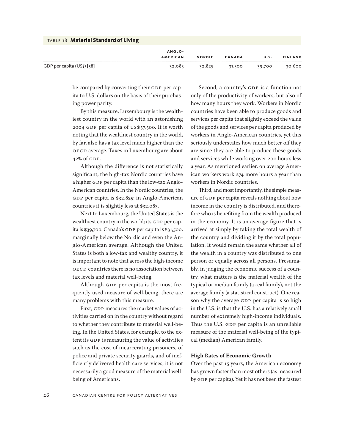| TABLE 18 Material Standard of Living |                 |               |               |        |                |
|--------------------------------------|-----------------|---------------|---------------|--------|----------------|
|                                      | ANGLO-          |               |               |        |                |
|                                      | <b>AMERICAN</b> | <b>NORDIC</b> | <b>CANADA</b> | U.S.   | <b>FINLAND</b> |
| GDP per capita $(US5)$ [58]          | 32,083          | 32,825        | 31,500        | 39,700 | 30,600         |

be compared by converting their GDP per capita to U.S. dollars on the basis of their purchasing power parity.

By this measure, Luxembourg is the wealthiest country in the world with an astonishing 2004 GDP per capita of US\$57,500. It is worth noting that the wealthiest country in the world, by far, also has a tax level much higher than the OECD average. Taxes in Luxembourg are about 42% of GDP.

Although the difference is not statistically significant, the high-tax Nordic countries have a higher GDP per capita than the low-tax Anglo-American countries. In the Nordic countries, the GDP per capita is \$32,825; in Anglo-American countries it is slightly less at \$32,083.

Next to Luxembourg, the United States is the wealthiest country in the world; its GDP per capita is \$39,700. Canada's GDP per capita is \$31,500, marginally below the Nordic and even the Anglo-American average. Although the United States is both a low-tax and wealthy country, it is important to note that across the high-income OECD countries there is no association between tax levels and material well-being.

Although GDP per capita is the most frequently used measure of well-being, there are many problems with this measure.

First, GDP measures the market values of activities carried on in the country without regard to whether they contribute to material well-being. In the United States, for example, to the extent its GDP is measuring the value of activities such as the cost of incarcerating prisoners, of police and private security guards, and of inefficiently delivered health care services, it is not necessarily a good measure of the material wellbeing of Americans.

Second, a country's GDP is a function not only of the productivity of workers, but also of how many hours they work. Workers in Nordic countries have been able to produce goods and services per capita that slightly exceed the value of the goods and services per capita produced by workers in Anglo-American countries, yet this seriously understates how much better off they are since they are able to produce these goods and services while working over 200 hours less a year. As mentioned earlier, on average American workers work 274 more hours a year than workers in Nordic countries.

Third, and most importantly, the simple measure of GDP per capita reveals nothing about how income in the country is distributed, and therefore who is benefiting from the wealth produced in the economy. It is an average figure that is arrived at simply by taking the total wealth of the country and dividing it by the total population. It would remain the same whether all of the wealth in a country was distributed to one person or equally across all persons. Presumably, in judging the economic success of a country, what matters is the material wealth of the typical or median family (a real family), not the average family (a statistical construct). One reason why the average GDP per capita is so high in the U.S. is that the U.S. has a relatively small number of extremely high-income individuals. Thus the U.S. GDP per capita is an unreliable measure of the material well-being of the typical (median) American family.

#### **High Rates of Economic Growth**

Over the past 15 years, the American economy has grown faster than most others (as measured by GDP per capita). Yet it has not been the fastest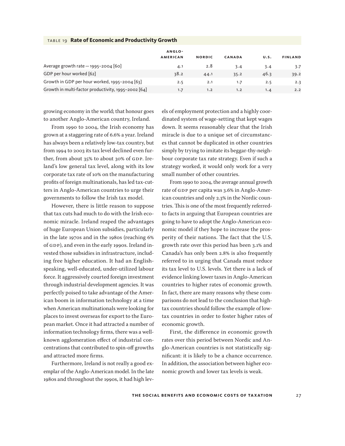|                                                     | ANGLO-          |               |               |      |                |
|-----------------------------------------------------|-----------------|---------------|---------------|------|----------------|
|                                                     | <b>AMERICAN</b> | <b>NORDIC</b> | <b>CANADA</b> | U.S. | <b>FINLAND</b> |
| Average growth rate $-$ 1995-2004 [60]              | 4.1             | 2.8           | 3.4           | 3.4  | 3.7            |
| GDP per hour worked [62]                            | 38.2            | 44.1          | 35.2          | 46.3 | 39.2           |
| Growth in GDP per hour worked, 1995-2004 [63]       | 2.5             | 2.1           | 1.7           | 2.5  | 2.3            |
| Growth in multi-factor productivity, 1995-2002 [64] | 1.7             | 1.2           | 1.2           | 1.4  | 2.2            |

#### table 19 **Rate of Economic and Productivity Growth**

growing economy in the world; that honour goes to another Anglo-American country, Ireland.

From 1990 to 2004, the Irish economy has grown at a staggering rate of 6.6% a year. Ireland has always been a relatively low-tax country, but from 1994 to 2003 its tax level declined even further, from about 35% to about 30% of GDP. Ireland's low general tax level, along with its low corporate tax rate of 10% on the manufacturing profits of foreign multinationals, has led tax-cutters in Anglo-American countries to urge their governments to follow the Irish tax model.

However, there is little reason to suppose that tax cuts had much to do with the Irish economic miracle. Ireland reaped the advantages of huge European Union subsidies, particularly in the late 1970s and in the 1980s (reaching 6% of GDP), and even in the early 1990s. Ireland invested those subsidies in infrastructure, including free higher education. It had an Englishspeaking, well-educated, under-utilized labour force. It aggressively courted foreign investment through industrial development agencies. It was perfectly poised to take advantage of the American boom in information technology at a time when American multinationals were looking for places to invest overseas for export to the European market. Once it had attracted a number of information technology firms, there was a wellknown agglomeration effect of industrial concentrations that contributed to spin-off growths and attracted more firms.

Furthermore, Ireland is not really a good exemplar of the Anglo-American model. In the late 1980s and throughout the 1990s, it had high lev-

els of employment protection and a highly coordinated system of wage-setting that kept wages down. It seems reasonably clear that the Irish miracle is due to a unique set of circumstances that cannot be duplicated in other countries simply by trying to imitate its beggar-thy-neighbour corporate tax rate strategy. Even if such a strategy worked, it would only work for a very small number of other countries.

From 1990 to 2004, the average annual growth rate of GDP per capita was 3.6% in Anglo-American countries and only 2.3% in the Nordic countries. This is one of the most frequently referredto facts in arguing that European countries are going to have to adopt the Anglo-American economic model if they hope to increase the prosperity of their nations. The fact that the U.S. growth rate over this period has been 3.1% and Canada's has only been 2.8% is also frequently referred to in urging that Canada must reduce its tax level to U.S. levels. Yet there is a lack of evidence linking lower taxes in Anglo-American countries to higher rates of economic growth. In fact, there are many reasons why these comparisons do not lead to the conclusion that hightax countries should follow the example of lowtax countries in order to foster higher rates of economic growth.

First, the difference in economic growth rates over this period between Nordic and Anglo-American countries is not statistically significant: it is likely to be a chance occurrence. In addition, the association between higher economic growth and lower tax levels is weak.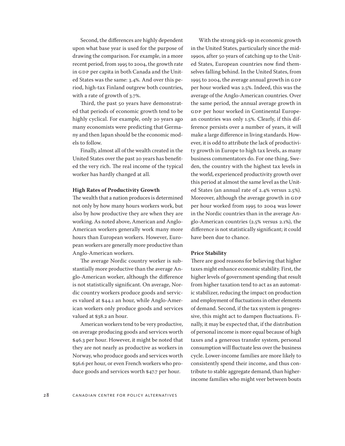Second, the differences are highly dependent upon what base year is used for the purpose of drawing the comparison. For example, in a more recent period, from 1995 to 2004, the growth rate in GDP per capita in both Canada and the United States was the same: 3.4%. And over this period, high-tax Finland outgrew both countries, with a rate of growth of 3.7%.

Third, the past 50 years have demonstrated that periods of economic growth tend to be highly cyclical. For example, only 20 years ago many economists were predicting that Germany and then Japan should be the economic models to follow.

Finally, almost all of the wealth created in the United States over the past 20 years has benefited the very rich. The real income of the typical worker has hardly changed at all.

#### **High Rates of Productivity Growth**

The wealth that a nation produces is determined not only by how many hours workers work, but also by how productive they are when they are working. As noted above, American and Anglo-American workers generally work many more hours than European workers. However, European workers are generally more productive than Anglo-American workers.

The average Nordic country worker is substantially more productive than the average Anglo-American worker, although the difference is not statistically significant. On average, Nordic country workers produce goods and services valued at \$44.1 an hour, while Anglo-American workers only produce goods and services valued at \$38.2 an hour.

American workers tend to be very productive, on average producing goods and services worth \$46.3 per hour. However, it might be noted that they are not nearly as productive as workers in Norway, who produce goods and services worth \$56.6 per hour, or even French workers who produce goods and services worth \$47.7 per hour.

With the strong pick-up in economic growth in the United States, particularly since the mid-1990s, after 50 years of catching up to the United States, European countries now find themselves falling behind. In the United States, from 1995 to 2004, the average annual growth in GDP per hour worked was 2.5%. Indeed, this was the average of the Anglo-American countries. Over the same period, the annual average growth in GDP per hour worked in Continental European countries was only 1.5%. Clearly, if this difference persists over a number of years, it will make a large difference in living standards. However, it is odd to attribute the lack of productivity growth in Europe to high tax levels, as many business commentators do. For one thing, Sweden, the country with the highest tax levels in the world, experienced productivity growth over this period at almost the same level as the United States (an annual rate of 2.4% versus 2.5%). Moreover, although the average growth in GDP per hour worked from 1995 to 2004 was lower in the Nordic countries than in the average Anglo-American countries (2.5% versus 2.1%), the difference is not statistically significant; it could have been due to chance.

#### **Price Stability**

There are good reasons for believing that higher taxes might enhance economic stability. First, the higher levels of government spending that result from higher taxation tend to act as an automatic stabilizer, reducing the impact on production and employment of fluctuations in other elements of demand. Second, if the tax system is progressive, this might act to dampen fluctuations. Finally, it may be expected that, if the distribution of personal income is more equal because of high taxes and a generous transfer system, personal consumption will fluctuate less over the business cycle. Lower-income families are more likely to consistently spend their income, and thus contribute to stable aggregate demand, than higherincome families who might veer between bouts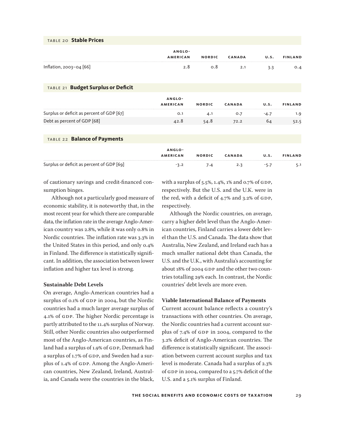| TABLE 20 Stable Prices                    |                           |               |               |        |                |
|-------------------------------------------|---------------------------|---------------|---------------|--------|----------------|
|                                           | ANGLO-<br><b>AMERICAN</b> | <b>NORDIC</b> | <b>CANADA</b> | U.S.   | <b>FINLAND</b> |
| Inflation, 2003-04 [66]                   | 2.8                       | O.8           | 2.1           | 3.3    | 0.4            |
| TABLE 21 Budget Surplus or Deficit        |                           |               |               |        |                |
|                                           | ANGLO-<br><b>AMERICAN</b> | <b>NORDIC</b> | <b>CANADA</b> | U.S.   | <b>FINLAND</b> |
| Surplus or deficit as percent of GDP [67] | O.1                       | 4.1           | O.7           | $-4.7$ | 1.9            |
| Debt as percent of GDP [68]               | 42.8                      | 54.8          | 72.2          | 64     | 52.5           |
|                                           |                           |               |               |        |                |
| TABLE 22 Balance of Payments              |                           |               |               |        |                |

|                                           | ANGLO-          |               |               |      |                |  |
|-------------------------------------------|-----------------|---------------|---------------|------|----------------|--|
|                                           | <b>AMERICAN</b> | <b>NORDIC</b> | <b>CANADA</b> | U.S. | <b>FINLAND</b> |  |
| Surplus or deficit as percent of GDP [69] |                 | 7.4           | 2.3           |      |                |  |

of cautionary savings and credit-financed consumption binges.

Although not a particularly good measure of economic stability, it is noteworthy that, in the most recent year for which there are comparable data, the inflation rate in the average Anglo-American country was 2.8%, while it was only 0.8% in Nordic countries. The inflation rate was 3.3% in the United States in this period, and only 0.4% in Finland. The difference is statistically significant. In addition, the association between lower inflation and higher tax level is strong.

#### **Sustainable Debt Levels**

On average, Anglo-American countries had a surplus of 0.1% of GDP in 2004, but the Nordic countries had a much larger average surplus of 4.1% of GDP. The higher Nordic percentage is partly attributed to the 11.4% surplus of Norway. Still, other Nordic countries also outperformed most of the Anglo-American countries, as Finland had a surplus of 1.9% of GDP, Denmark had a surplus of 1.7% of GDP, and Sweden had a surplus of 1.4% of GDP. Among the Anglo-American countries, New Zealand, Ireland, Australia, and Canada were the countries in the black,

with a surplus of 5.5%, 1.4%, 1% and 0.7% of GDP, respectively. But the U.S. and the U.K. were in the red, with a deficit of 4.7% and 3.2% of GDP, respectively.

Although the Nordic countries, on average, carry a higher debt level than the Anglo-American countries, Finland carries a lower debt level than the U.S. and Canada. The data show that Australia, New Zealand, and Ireland each has a much smaller national debt than Canada, the U.S. and the U.K., with Australia's accounting for about 18% of 2004 GDP and the other two countries totalling 29% each. In contrast, the Nordic countries' debt levels are more even.

#### **Viable International Balance of Payments**

Current account balance reflects a country's transactions with other countries. On average, the Nordic countries had a current account surplus of 7.4% of GDP in 2004, compared to the 3.2% deficit of Anglo-American countries. The difference is statistically significant. The association between current account surplus and tax level is moderate. Canada had a surplus of 2.3% of GDP in 2004, compared to a 5.7% deficit of the U.S. and a 5.1% surplus of Finland.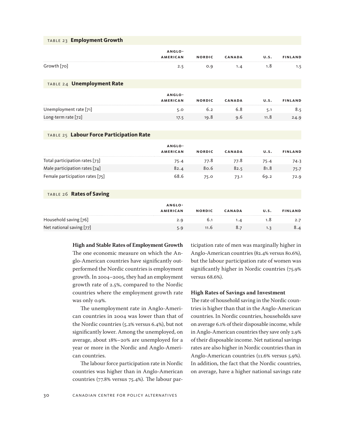|  |  |  |  | TABLE 23 Employment Growth |
|--|--|--|--|----------------------------|
|--|--|--|--|----------------------------|

| ANGLO-      |                 |               |               |      |                |  |  |  |
|-------------|-----------------|---------------|---------------|------|----------------|--|--|--|
|             | <b>AMERICAN</b> | <b>NORDIC</b> | <b>CANADA</b> | U.S. | <b>FINLAND</b> |  |  |  |
| Growth [70] | 2.5             | 0.9           | 1.4           | 1.8  | 1.5            |  |  |  |

#### table 24 **Unemployment Rate**

|                        | ANGLO-          |               |               |      |                |
|------------------------|-----------------|---------------|---------------|------|----------------|
|                        | <b>AMERICAN</b> | <b>NORDIC</b> | <b>CANADA</b> | U.S. | <b>FINLAND</b> |
| Unemployment rate [71] | 5.0             | 6.2           | 6.8           | 5.1  | 8.5            |
| Long-term rate [72]    | 17.5            | 19.8          | 9.6           | 11.8 | 24.9           |

#### table 25 **Labour Force Participation Rate**

|                                 | ANGLO-          |               |        |      |                |
|---------------------------------|-----------------|---------------|--------|------|----------------|
|                                 | <b>AMERICAN</b> | <b>NORDIC</b> | CANADA | U.S. | <b>FINLAND</b> |
| Total participation rates [73]  | 75.4            | 77.8          | 77.8   | 75.4 | 74.3           |
| Male participation rates [74]   | 82.4            | 80.6          | 82.5   | 81.8 | 75.7           |
| Female participation rates [75] | 68.6            | 75.0          | 73.1   | 69.2 | 72.9           |

#### table 26 **Rates of Saving**

|                          | ANGLO-          |               |               |      |                |
|--------------------------|-----------------|---------------|---------------|------|----------------|
|                          | <b>AMERICAN</b> | <b>NORDIC</b> | <b>CANADA</b> | U.S. | <b>FINLAND</b> |
| Household saving [76]    | 2.9             | 6.1           | 1.4           | 1.8  | 2.7            |
| Net national saving [77] | 5.9             | 11.6          | 8.7           |      | 8.4            |

**High and Stable Rates of Employment Growth**

The one economic measure on which the Anglo-American countries have significantly outperformed the Nordic countries is employment growth. In 2004–2005, they had an employment growth rate of 2.5%, compared to the Nordic countries where the employment growth rate was only 0.9%.

The unemployment rate in Anglo-American countries in 2004 was lower than that of the Nordic countries (5.2% versus 6.4%), but not significantly lower. Among the unemployed, on average, about 18%–20% are unemployed for a year or more in the Nordic and Anglo-American countries.

The labour force participation rate in Nordic countries was higher than in Anglo-American countries (77.8% versus 75.4%). The labour participation rate of men was marginally higher in Anglo-American countries (82.4% versus 80.6%), but the labour participation rate of women was significantly higher in Nordic countries (75.9% versus 68.6%).

#### **High Rates of Savings and Investment**

The rate of household saving in the Nordic countries is higher than that in the Anglo-American countries. In Nordic countries, households save on average 6.1% of their disposable income, while in Anglo-American countries they save only 2.9% of their disposable income. Net national savings rates are also higher in Nordic countries than in Anglo-American countries (11.6% versus 5.9%). In addition, the fact that the Nordic countries, on average, have a higher national savings rate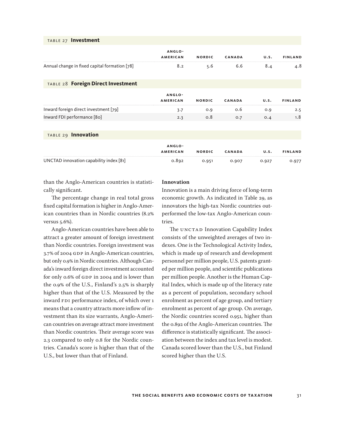| TABLE 27 Investment                           |                           |               |               |      |                |
|-----------------------------------------------|---------------------------|---------------|---------------|------|----------------|
|                                               | ANGLO-<br><b>AMERICAN</b> | <b>NORDIC</b> | <b>CANADA</b> | U.S. | <b>FINLAND</b> |
| Annual change in fixed capital formation [78] | 8.2                       | 5.6           | 6.6           | 8.4  | 4.8            |
| TABLE 28 Foreign Direct Investment            |                           |               |               |      |                |
|                                               | ANGLO-<br><b>AMERICAN</b> | <b>NORDIC</b> | <b>CANADA</b> | U.S. | <b>FINLAND</b> |
| Inward foreign direct investment [79]         | 3.7                       | 0.9           | 0.6           | 0.9  | 2.5            |
| Inward FDI performance [80]                   | 2.3                       | 0.8           | O.7           | O.4  | 1.8            |
|                                               |                           |               |               |      |                |

### table 29 **Innovation**

|                                         | ANGLO-          |               |               |       |                |
|-----------------------------------------|-----------------|---------------|---------------|-------|----------------|
|                                         | <b>AMERICAN</b> | <b>NORDIC</b> | <b>CANADA</b> | U.S.  | <b>FINLAND</b> |
| UNCTAD innovation capability index [81] | 0.892           | 0.951         | 0.907         | 0.927 | 0.977          |

than the Anglo-American countries is statistically significant.

The percentage change in real total gross fixed capital formation is higher in Anglo-American countries than in Nordic countries (8.2% versus 5.6%).

Anglo-American countries have been able to attract a greater amount of foreign investment than Nordic countries. Foreign investment was 3.7% of 2004 GDP in Anglo-American countries, but only 0.9% in Nordic countries. Although Canada's inward foreign direct investment accounted for only 0.6% of GDP in 2004 and is lower than the 0.9% of the U.S., Finland's 2.5% is sharply higher than that of the U.S. Measured by the inward FDI performance index, of which over 1 means that a country attracts more inflow of investment than its size warrants, Anglo-American countries on average attract more investment than Nordic countries. Their average score was 2.3 compared to only 0.8 for the Nordic countries. Canada's score is higher than that of the U.S., but lower than that of Finland.

#### **Innovation**

Innovation is a main driving force of long-term economic growth. As indicated in Table 29, as innovators the high-tax Nordic countries outperformed the low-tax Anglo-American countries.

The UNCTAD Innovation Capability Index consists of the unweighted averages of two indexes. One is the Technological Activity Index, which is made up of research and development personnel per million people, U.S. patents granted per million people, and scientific publications per million people. Another is the Human Capital Index, which is made up of the literacy rate as a percent of population, secondary school enrolment as percent of age group, and tertiary enrolment as percent of age group. On average, the Nordic countries scored 0.951, higher than the 0.892 of the Anglo-American countries. The difference is statistically significant. The association between the index and tax level is modest. Canada scored lower than the U.S., but Finland scored higher than the U.S.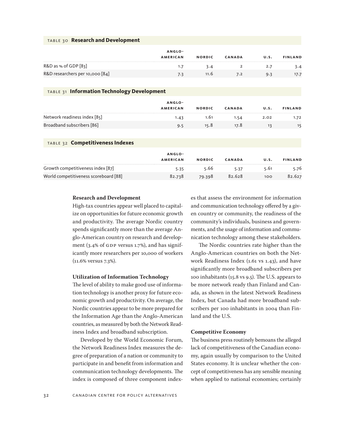#### table 30 **Research and Development**

|                                 | ANGLO-          |               |               |      |                |
|---------------------------------|-----------------|---------------|---------------|------|----------------|
|                                 | <b>AMERICAN</b> | <b>NORDIC</b> | <b>CANADA</b> | U.S. | <b>FINLAND</b> |
| R&D as % of GDP [83]            |                 | 3.4           |               |      | 3.4            |
| R&D researchers per 10,000 [84] | 7.3             | 11.6          | 7.2           | 9.3  | 17.7           |

#### table 31 **Information Technology Development**

|                              | ANGLO-          |               |               |      |                |
|------------------------------|-----------------|---------------|---------------|------|----------------|
|                              | <b>AMERICAN</b> | <b>NORDIC</b> | <b>CANADA</b> | U.S. | <b>FINLAND</b> |
| Network readiness index [85] | 1.43            | 1.61          | 1.54          | 2.02 | 1.72           |
| Broadband subscribers [86]   | 9.5             | 15.8          | 17.8          |      |                |

#### table 32 **Competitiveness Indexes**

|                                       | ANGLO-          |               |               |      |                |
|---------------------------------------|-----------------|---------------|---------------|------|----------------|
|                                       | <b>AMERICAN</b> | <b>NORDIC</b> | <b>CANADA</b> | U.S. | <b>FINLAND</b> |
| Growth competitiveness index [87]     | 5.35            | 5.66          | 5.37          | 5.61 | 5.76           |
| World competitiveness scoreboard [88] | 82.738          | 79.398        | 82.628        | 100  | 82.627         |

#### **Research and Development**

High-tax countries appear well placed to capitalize on opportunities for future economic growth and productivity. The average Nordic country spends significantly more than the average Anglo-American country on research and development (3.4% of GDP versus 1.7%), and has significantly more researchers per 10,000 of workers (11.6% versus 7.3%).

#### **Utilization of Information Technology**

The level of ability to make good use of information technology is another proxy for future economic growth and productivity. On average, the Nordic countries appear to be more prepared for the Information Age than the Anglo-American countries, as measured by both the Network Readiness Index and broadband subscription.

Developed by the World Economic Forum, the Network Readiness Index measures the degree of preparation of a nation or community to participate in and benefit from information and communication technology developments. The index is composed of three component indexes that assess the environment for information and communication technology offered by a given country or community, the readiness of the community's individuals, business and governments, and the usage of information and communication technology among these stakeholders.

The Nordic countries rate higher than the Anglo-American countries on both the Network Readiness Index (1.61 vs 1.43), and have significantly more broadband subscribers per 100 inhabitants (15.8 vs 9.5). The U.S. appears to be more network ready than Finland and Canada, as shown in the latest Network Readiness Index, but Canada had more broadband subscribers per 100 inhabitants in 2004 than Finland and the U.S.

#### **Competitive Economy**

The business press routinely bemoans the alleged lack of competitiveness of the Canadian economy, again usually by comparison to the United States economy. It is unclear whether the concept of competitiveness has any sensible meaning when applied to national economies; certainly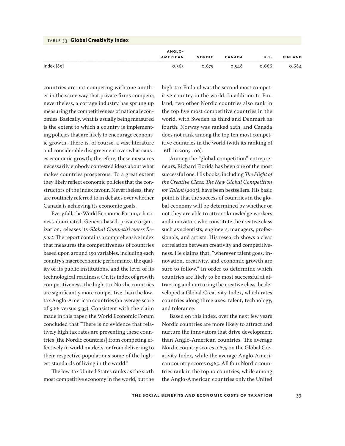| TABLE 33 Global Creativity Index |                 |               |               |       |                |
|----------------------------------|-----------------|---------------|---------------|-------|----------------|
|                                  | ANGLO-          |               |               |       |                |
|                                  | <b>AMERICAN</b> | <b>NORDIC</b> | <b>CANADA</b> | U.S.  | <b>FINLAND</b> |
| Index $[89]$                     | 0.565           | 0.675         | 0.548         | 0.666 | 0.684          |

countries are not competing with one another in the same way that private firms compete; nevertheless, a cottage industry has sprung up measuring the competitiveness of national economies. Basically, what is usually being measured is the extent to which a country is implementing policies that are likely to encourage economic growth. There is, of course, a vast literature and considerable disagreement over what causes economic growth; therefore, these measures necessarily embody contested ideas about what makes countries prosperous. To a great extent they likely reflect economic policies that the constructors of the index favour. Nevertheless, they are routinely referred to in debates over whether Canada is achieving its economic goals.

Every fall, the World Economic Forum, a business-dominated, Geneva-based, private organization, releases its *Global Competitiveness Report*. The report contains a comprehensive index that measures the competitiveness of countries based upon around 150 variables, including each country's macroeconomic performance, the quality of its public institutions, and the level of its technological readiness. On its index of growth competitiveness, the high-tax Nordic countries are significantly more competitive than the lowtax Anglo-American countries (an average score of 5.66 versus 5.35). Consistent with the claim made in this paper, the World Economic Forum concluded that "There is no evidence that relatively high tax rates are preventing these countries [the Nordic countries] from competing effectively in world markets, or from delivering to their respective populations some of the highest standards of living in the world."

The low-tax United States ranks as the sixth most competitive economy in the world, but the

high-tax Finland was the second most competitive country in the world. In addition to Finland, two other Nordic countries also rank in the top five most competitive countries in the world, with Sweden as third and Denmark as fourth. Norway was ranked 12th, and Canada does not rank among the top ten most competitive countries in the world (with its ranking of 16th in 2005–06).

Among the "global competition" entrepreneurs, Richard Florida has been one of the most successful one. His books, including *The Flight of the Creative Class: The New Global Competition for Talent* (2005), have been bestsellers. His basic point is that the success of countries in the global economy will be determined by whether or not they are able to attract knowledge workers and innovators who constitute the creative class such as scientists, engineers, managers, professionals, and artists. His research shows a clear correlation between creativity and competitiveness. He claims that, "wherever talent goes, innovation, creativity, and economic growth are sure to follow." In order to determine which countries are likely to be most successful at attracting and nurturing the creative class, he developed a Global Creativity Index, which rates countries along three axes: talent, technology, and tolerance.

Based on this index, over the next few years Nordic countries are more likely to attract and nurture the innovators that drive development than Anglo-American countries. The average Nordic country scores 0.675 on the Global Creativity Index, while the average Anglo-American country scores 0.565. All four Nordic countries rank in the top 10 countries, while among the Anglo-American countries only the United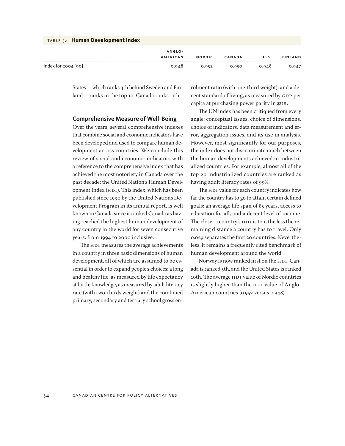| <b>TABLE 34 Human Development Index</b> |                 |               |               |       |                |
|-----------------------------------------|-----------------|---------------|---------------|-------|----------------|
|                                         | ANGLO-          |               |               |       |                |
|                                         | <b>AMERICAN</b> | <b>NORDIC</b> | <b>CANADA</b> | U.S.  | <b>FINLAND</b> |
| Index for $2004$ [90]                   | 0.948           | 0.952         | 0.950         | 0.948 | 0.947          |

States—which ranks 4th behind Sweden and Finland—ranks in the top 10. Canada ranks 11th.

#### **Comprehensive Measure of Well-Being**

Over the years, several comprehensive indexes that combine social and economic indicators have been developed and used to compare human development across countries. We conclude this review of social and economic indicators with a reference to the comprehensive index that has achieved the most notoriety in Canada over the past decade: the United Nation's Human Development Index (HDI). This index, which has been published since 1990 by the United Nations Development Program in its annual report, is well known in Canada since it ranked Canada as having reached the highest human development of any country in the world for seven consecutive years, from 1994 to 2000 inclusive.

The HDI measures the average achievements in a country in three basic dimensions of human development, all of which are assumed to be essential in order to expand people's choices: a long and healthy life, as measured by life expectancy at birth; knowledge, as measured by adult literacy rate (with two-thirds weight) and the combined primary, secondary and tertiary school gross enrolment ratio (with one-third weight); and a decent standard of living, as measured by GDP per capita at purchasing power parity in \$US.

The UN index has been critiqued from every angle: conceptual issues, choice of dimensions, choice of indicators, data measurement and error, aggregation issues, and its use in analysis. However, most significantly for our purposes, the index does not discriminate much between the human developments achieved in industrialized countries. For example, almost all of the top 20 industrialized countries are ranked as having adult literacy rates of 99%.

The HDI value for each country indicates how far the country has to go to attain certain defined goals: an average life span of 85 years, access to education for all, and a decent level of income. The closer a country's HDI is to 1, the less the remaining distance a country has to travel. Only 0.029 separates the first 20 countries. Nevertheless, it remains a frequently cited benchmark of human development around the world.

Norway is now ranked first on the HDI, Canada is ranked 5th, and the United States is ranked 10th. The average HDI value of Nordic countries is slightly higher than the HDI value of Anglo-American countries (0.952 versus 0.948).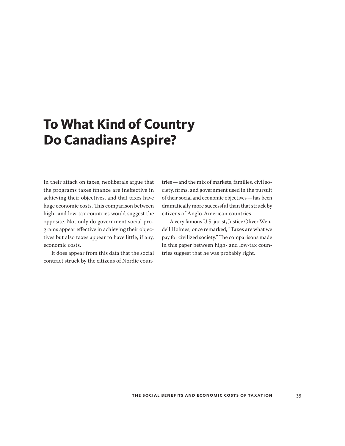## <span id="page-34-0"></span>**To What Kind of Country Do Canadians Aspire?**

In their attack on taxes, neoliberals argue that the programs taxes finance are ineffective in achieving their objectives, and that taxes have huge economic costs. This comparison between high- and low-tax countries would suggest the opposite. Not only do government social programs appear effective in achieving their objectives but also taxes appear to have little, if any, economic costs.

It does appear from this data that the social contract struck by the citizens of Nordic countries—and the mix of markets, families, civil society, firms, and government used in the pursuit of their social and economic objectives—has been dramatically more successful than that struck by citizens of Anglo-American countries.

A very famous U.S. jurist, Justice Oliver Wendell Holmes, once remarked, "Taxes are what we pay for civilized society." The comparisons made in this paper between high- and low-tax countries suggest that he was probably right.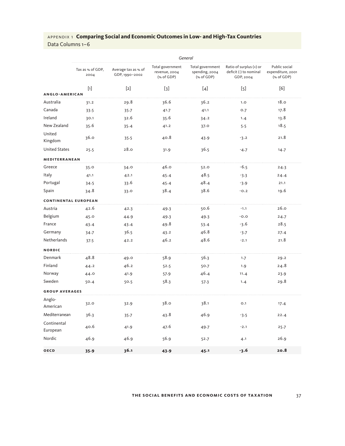|                             | General                  |                                       |                                                 |                                                  |                                                                |                                                  |  |  |  |
|-----------------------------|--------------------------|---------------------------------------|-------------------------------------------------|--------------------------------------------------|----------------------------------------------------------------|--------------------------------------------------|--|--|--|
|                             | Tax as % of GDP,<br>2004 | Average tax as % of<br>GDP, 1990-2002 | Total government<br>revenue, 2004<br>(% of GDP) | Total government<br>spending, 2004<br>(% of GDP) | Ratio of surplus (+) or<br>deficit (-) to nominal<br>GDP, 2004 | Public social<br>expenditure, 2001<br>(% of GDP) |  |  |  |
|                             | $[1]$                    | $[2]$                                 | $[3]$                                           | $[4]$                                            | $[5]$                                                          | [6]                                              |  |  |  |
| <b>ANGLO-AMERICAN</b>       |                          |                                       |                                                 |                                                  |                                                                |                                                  |  |  |  |
| Australia                   | 31.2                     | 29.8                                  | 36.6                                            | 36.2                                             | 1.0                                                            | 18.0                                             |  |  |  |
| Canada                      | 33.5                     | 35.7                                  | 41.7                                            | 41.1                                             | 0.7                                                            | 17.8                                             |  |  |  |
| Ireland                     | 30.1                     | 32.6                                  | 35.6                                            | 34.2                                             | 1.4                                                            | 13.8                                             |  |  |  |
| New Zealand                 | 35.6                     | 35.4                                  | 41.2                                            | 37.0                                             | 5.5                                                            | 18.5                                             |  |  |  |
| United<br>Kingdom           | 36.0                     | 35.5                                  | 40.8                                            | 43.9                                             | $-3.2$                                                         | 21.8                                             |  |  |  |
| <b>United States</b>        | 25.5                     | 28.0                                  | 31.9                                            | 36.5                                             | $-4.7$                                                         | 14.7                                             |  |  |  |
| MEDITERRANEAN               |                          |                                       |                                                 |                                                  |                                                                |                                                  |  |  |  |
| Greece                      | 35.0                     | 34.0                                  | 46.0                                            | 52.0                                             | $-6.5$                                                         | 24.3                                             |  |  |  |
| Italy                       | 41.1                     | 42.1                                  | 45.4                                            | 48.5                                             | $-3.3$                                                         | 24.4                                             |  |  |  |
| Portugal                    | 34.5                     | 33.6                                  | 45.4                                            | 48.4                                             | $-3.9$                                                         | 21.1                                             |  |  |  |
| Spain                       | 34.8                     | 33.0                                  | 38.4                                            | 38.6                                             | $-0.2$                                                         | 19.6                                             |  |  |  |
| <b>CONTINENTAL EUROPEAN</b> |                          |                                       |                                                 |                                                  |                                                                |                                                  |  |  |  |
| Austria                     | 42.6                     | 42.3                                  | 49.3                                            | 50.6                                             | $-1.1$                                                         | 26.0                                             |  |  |  |
| Belgium                     | 45.0                     | 44.9                                  | 49.3                                            | 49.3                                             | $-0.0$                                                         | 24.7                                             |  |  |  |
| France                      | 43.4                     | 43.4                                  | 49.8                                            | 53.4                                             | $-3.6$                                                         | 28.5                                             |  |  |  |
| Germany                     | 34.7                     | 36.5                                  | 43.2                                            | 46.8                                             | $-3.7$                                                         | 27.4                                             |  |  |  |
| Netherlands                 | 37.5                     | 42.2                                  | 46.2                                            | 48.6                                             | $-2.1$                                                         | 21.8                                             |  |  |  |
| <b>NORDIC</b>               |                          |                                       |                                                 |                                                  |                                                                |                                                  |  |  |  |
| Denmark                     | 48.8                     | 49.0                                  | 58.9                                            | 56.3                                             | 1.7                                                            | 29.2                                             |  |  |  |
| Finland                     | 44.2                     | 46.2                                  | 52.5                                            | 50.7                                             | 1.9                                                            | 24.8                                             |  |  |  |
| Norway                      | 44.0                     | 41.9                                  | 57.9                                            | 46.4                                             | 11.4                                                           | 23.9                                             |  |  |  |
| Sweden                      | 50.4                     | 50.5                                  | 58.3                                            | 57.3                                             | 1.4                                                            | 29.8                                             |  |  |  |
| <b>GROUP AVERAGES</b>       |                          |                                       |                                                 |                                                  |                                                                |                                                  |  |  |  |
| Anglo-<br>American          | 32.0                     | 32.9                                  | 38.0                                            | 38.1                                             | O.1                                                            | 17.4                                             |  |  |  |
| Mediterranean               | 36.3                     | 35.7                                  | 43.8                                            | 46.9                                             | $-3.5$                                                         | 22.4                                             |  |  |  |
| Continental<br>European     | 40.6                     | 41.9                                  | 47.6                                            | 49.7                                             | $-2.1$                                                         | 25.7                                             |  |  |  |
| Nordic                      | 46.9                     | 46.9                                  | 56.9                                            | 52.7                                             | 4.1                                                            | 26.9                                             |  |  |  |
| <b>OECD</b>                 | 35.9                     | 36.1                                  | 43.9                                            | 45.1                                             | $-3.6$                                                         | 20.8                                             |  |  |  |

#### **the social benefits and economic costs of ta x ation** 37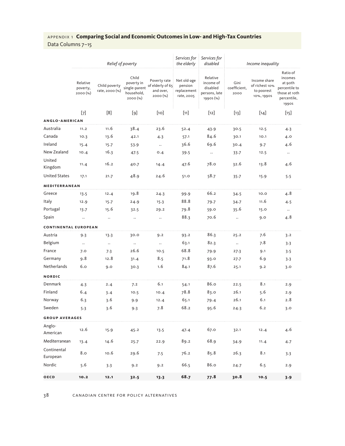Data Columns 7–15

|                             |                                  | Relief of poverty               |                                                                |                                                           | Services for<br>the elderly                         | Services for<br>disabled                                        | Income inequality            |                                                            |                                                                                          |  |
|-----------------------------|----------------------------------|---------------------------------|----------------------------------------------------------------|-----------------------------------------------------------|-----------------------------------------------------|-----------------------------------------------------------------|------------------------------|------------------------------------------------------------|------------------------------------------------------------------------------------------|--|
|                             | Relative<br>poverty,<br>2000 (%) | Child poverty<br>rate, 2000 (%) | Child<br>poverty in<br>single-parent<br>household,<br>2000 (%) | Poverty rate<br>of elderly of 65<br>and over,<br>2000 (%) | Net old-age<br>pension<br>replacement<br>rate, 2005 | Relative<br>income of<br>disabled<br>persons, late<br>1990s (%) | Gini<br>coefficient,<br>2000 | Income share<br>of richest 10%<br>to poorest<br>10%, 1990S | Ratio of<br>incomes<br>at 90th<br>percentile to<br>those at 10th<br>percentile,<br>1990S |  |
|                             | $[7]$                            | [8]                             | $[9]$                                                          | [10]                                                      | $[11]$                                              | $[12]$                                                          | $[13]$                       | $[14]$                                                     | $[15]$                                                                                   |  |
| ANGLO-AMERICAN              |                                  |                                 |                                                                |                                                           |                                                     |                                                                 |                              |                                                            |                                                                                          |  |
| Australia                   | 11.2                             | 11.6                            | 38.4                                                           | 23.6                                                      | 52.4                                                | 43.9                                                            | 30.5                         | 12.5                                                       | 4.3                                                                                      |  |
| Canada                      | 10.3                             | 13.6                            | 42.1                                                           | 4.3                                                       | 57.1                                                | 84.6                                                            | 30.1                         | 10.1                                                       | 4.0                                                                                      |  |
| Ireland                     | 15.4                             | 15.7                            | 53.9                                                           | $\ldots$                                                  | 36.6                                                | 69.6                                                            | 30.4                         | 9.7                                                        | 4.6                                                                                      |  |
| New Zealand                 | 10.4                             | 16.3                            | 47.5                                                           | 0.4                                                       | 39.5                                                | $\ldots$                                                        | 33.7                         | 12.5                                                       | $\ldots$                                                                                 |  |
| United<br>Kingdom           | 11.4                             | 16.2                            | 40.7                                                           | 14.4                                                      | 47.6                                                | 78.0                                                            | 32.6                         | 13.8                                                       | 4.6                                                                                      |  |
| <b>United States</b>        | 17.1                             | 21.7                            | 48.9                                                           | 24.6                                                      | 51.0                                                | 58.7                                                            | $35 - 7$                     | 15.9                                                       | 5.5                                                                                      |  |
| MEDITERRANEAN               |                                  |                                 |                                                                |                                                           |                                                     |                                                                 |                              |                                                            |                                                                                          |  |
| Greece                      | 13.5                             | 12.4                            | 19.8                                                           | 24.3                                                      | 99.9                                                | 66.2                                                            | 34.5                         | 10.0                                                       | 4.8                                                                                      |  |
| Italy                       | 12.9                             | 15.7                            | 24.9                                                           | 15.3                                                      | 88.8                                                | 79.7                                                            | 34.7                         | 11.6                                                       | 4.5                                                                                      |  |
| Portugal                    | 13.7                             | 15.6                            | 32.5                                                           | 29.2                                                      | 79.8                                                | 59.0                                                            | 35.6                         | 15.0                                                       | $\ldots$                                                                                 |  |
| Spain                       | $\ldots$                         |                                 | $\ddotsc$                                                      | $\ldots$                                                  | 88.3                                                | 70.6                                                            | $\ldots$                     | 9.0                                                        | 4.8                                                                                      |  |
| <b>CONTINENTAL EUROPEAN</b> |                                  |                                 |                                                                |                                                           |                                                     |                                                                 |                              |                                                            |                                                                                          |  |
| Austria                     | 9.3                              | 13.3                            | 30.0                                                           | 9.2                                                       | 93.2                                                | 86.3                                                            | 25.2                         | 7.6                                                        | 3.2                                                                                      |  |
| Belgium                     | $\ldots$                         | $\ldots$                        | $\ldots$                                                       | $\ldots$                                                  | 63.1                                                | 82.3                                                            | $\ddotsc$                    | 7.8                                                        | 3.3                                                                                      |  |
| France                      | 7.0                              | 7.3                             | 26.6                                                           | 10.5                                                      | 68.8                                                | 79.9                                                            | 27.3                         | 9.1                                                        | 3.5                                                                                      |  |
| Germany                     | 9.8                              | 12.8                            | 31.4                                                           | 8.5                                                       | 71.8                                                | 93.0                                                            | 27.7                         | 6.9                                                        | 3.3                                                                                      |  |
| Netherlands                 | 6.0                              | 9.0                             | 30.3                                                           | 1.6                                                       | 84.1                                                | 87.6                                                            | 25.1                         | 9.2                                                        | 3.0                                                                                      |  |
| <b>NORDIC</b>               |                                  |                                 |                                                                |                                                           |                                                     |                                                                 |                              |                                                            |                                                                                          |  |
| Denmark                     | 4.3                              | 2.4                             | 7.2                                                            | 6.1                                                       | 54.1                                                | 86.o                                                            | 22.5                         | 8.1                                                        | 2.9                                                                                      |  |
| Finland                     | 6.4                              | 3.4                             | 10.5                                                           | 10.4                                                      | 78.8                                                | 83.0                                                            | 26.1                         | 5.6                                                        | 2.9                                                                                      |  |
| Norway                      | 6.3                              | 3.6                             | 9.9                                                            | 12.4                                                      | 65.1                                                | 79.4                                                            | 26.1                         | 6.1                                                        | 2.8                                                                                      |  |
| Sweden                      | 5.3                              | 3.6                             | 9.3                                                            | 7.8                                                       | 68.2                                                | 95.6                                                            | 24.3                         | 6.2                                                        | 3.0                                                                                      |  |
| <b>GROUP AVERAGES</b>       |                                  |                                 |                                                                |                                                           |                                                     |                                                                 |                              |                                                            |                                                                                          |  |
| Anglo-<br>American          | 12.6                             | 15.9                            | 45.2                                                           | 13.5                                                      | 47.4                                                | 67.0                                                            | 32.1                         | 12.4                                                       | 4.6                                                                                      |  |
| Mediterranean               | 13.4                             | 14.6                            | 25.7                                                           | 22.9                                                      | 89.2                                                | 68.9                                                            | 34.9                         | 11.4                                                       | 4.7                                                                                      |  |
| Continental<br>European     | 8.0                              | 10.6                            | 29.6                                                           | 7.5                                                       | 76.2                                                | 85.8                                                            | 26.3                         | 8.1                                                        | 3.3                                                                                      |  |
| Nordic                      | 5.6                              | 3.3                             | 9.2                                                            | 9.2                                                       | 66.5                                                | 86.0                                                            | 24.7                         | 6.5                                                        | 2.9                                                                                      |  |
| OECD                        | 10.2                             | 12.1                            | 32.5                                                           | 13.3                                                      | 68.7                                                | 77.8                                                            | 30.8                         | 10.5                                                       | 3.9                                                                                      |  |

38 canadian centre for policy alternatives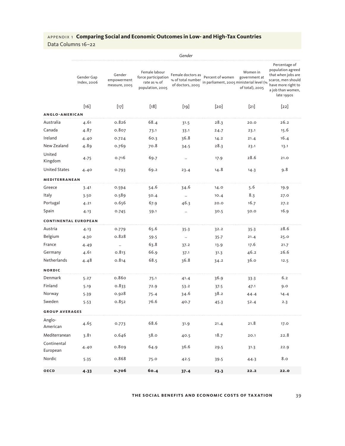Data Columns 16–22

|                             |                           |                                        |                                                                          | Gender                                                     |                                                              |                                              |                                                                                                                                         |
|-----------------------------|---------------------------|----------------------------------------|--------------------------------------------------------------------------|------------------------------------------------------------|--------------------------------------------------------------|----------------------------------------------|-----------------------------------------------------------------------------------------------------------------------------------------|
|                             | Gender Gap<br>Index, 2006 | Gender<br>empowerment<br>measure, 2005 | Female labour<br>force participation<br>rate as % of<br>population, 2005 | Female doctors as<br>% of total number<br>of doctors, 2003 | Percent of women<br>in parliament, 2005 ministerial level (% | Women in<br>government at<br>of total), 2005 | Percentage of<br>population agreed<br>that when jobs are<br>scarce, men should<br>have more right to<br>a job than women,<br>late 1990s |
|                             | $[16]$                    | $[17]$                                 | $[18]$                                                                   | $[19]$                                                     | [20]                                                         | $[21]$                                       | $[22]$                                                                                                                                  |
| <b>ANGLO-AMERICAN</b>       |                           |                                        |                                                                          |                                                            |                                                              |                                              |                                                                                                                                         |
| Australia                   | 4.61                      | 0.826                                  | 68.4                                                                     | 31.5                                                       | 28.3                                                         | 20.0                                         | 26.2                                                                                                                                    |
| Canada                      | 4.87                      | 0.807                                  | 73.1                                                                     | 33.1                                                       | 24.7                                                         | 23.1                                         | 15.6                                                                                                                                    |
| Ireland                     | 4.40                      | 0.724                                  | 60.3                                                                     | 36.8                                                       | 14.2                                                         | 21.4                                         | 16.4                                                                                                                                    |
| New Zealand                 | 4.89                      | 0.769                                  | 70.8                                                                     | 34.5                                                       | 28.3                                                         | 23.1                                         | 13.1                                                                                                                                    |
| United<br>Kingdom           | 4.75                      | 0.716                                  | 69.7                                                                     | $\ldots$                                                   | 17.9                                                         | 28.6                                         | 21.0                                                                                                                                    |
| <b>United States</b>        | 4.40                      | 0.793                                  | 69.2                                                                     | 23.4                                                       | 14.8                                                         | 14.3                                         | 9.8                                                                                                                                     |
| MEDITERRANEAN               |                           |                                        |                                                                          |                                                            |                                                              |                                              |                                                                                                                                         |
| Greece                      | 3.41                      | 0.594                                  | 54.6                                                                     | 34.6                                                       | 14.0                                                         | 5.6                                          | 19.9                                                                                                                                    |
| Italy                       | 3.50                      | 0.589                                  | 50.4                                                                     | $\ldots$                                                   | 10.4                                                         | 8.3                                          | 27.0                                                                                                                                    |
| Portugal                    | 4.21                      | 0.656                                  | 67.9                                                                     | 46.3                                                       | 20.0                                                         | 16.7                                         | 27.2                                                                                                                                    |
| Spain                       | 4.13                      | 0.745                                  | 59.1                                                                     | $\ldots$                                                   | 30.5                                                         | 50.0                                         | 16.9                                                                                                                                    |
| <b>CONTINENTAL EUROPEAN</b> |                           |                                        |                                                                          |                                                            |                                                              |                                              |                                                                                                                                         |
| Austria                     | 4.13                      | 0.779                                  | 65.6                                                                     | 35.3                                                       | 32.2                                                         | 35.3                                         | 28.6                                                                                                                                    |
| Belgium                     | 4.30                      | 0.828                                  | 59.5                                                                     | $\ldots$                                                   | $35 - 7$                                                     | 21.4                                         | 25.0                                                                                                                                    |
| France                      | 4.49                      | $\ldots$                               | 63.8                                                                     | 37.2                                                       | 13.9                                                         | 17.6                                         | 21.7                                                                                                                                    |
| Germany                     | 4.61                      | 0.813                                  | 66.9                                                                     | 37.1                                                       | 31.3                                                         | 46.2                                         | 26.6                                                                                                                                    |
| Netherlands                 | 4.48                      | 0.814                                  | 68.5                                                                     | 36.8                                                       | 34.2                                                         | 36.0                                         | 12.5                                                                                                                                    |
| <b>NORDIC</b>               |                           |                                        |                                                                          |                                                            |                                                              |                                              |                                                                                                                                         |
| Denmark                     | 5.27                      | 0.860                                  | 75.1                                                                     | 41.4                                                       | 36.9                                                         | 33.3                                         | 6.2                                                                                                                                     |
| Finland                     | 5.19                      | 0.833                                  | 72.9                                                                     | 53.2                                                       | 37.5                                                         | 47.1                                         | 9.0                                                                                                                                     |
| Norway                      | 5.39                      | 0.928                                  | 75.4                                                                     | 34.6                                                       | 38.2                                                         | 44.4                                         | 14.4                                                                                                                                    |
| Sweden                      | 5.53                      | 0.852                                  | 76.6                                                                     | 40.7                                                       | 45.3                                                         | 52.4                                         | 2.3                                                                                                                                     |
| <b>GROUP AVERAGES</b>       |                           |                                        |                                                                          |                                                            |                                                              |                                              |                                                                                                                                         |
| Anglo-<br>American          | 4.65                      | 0.773                                  | 68.6                                                                     | 31.9                                                       | 21.4                                                         | 21.8                                         | 17.0                                                                                                                                    |
| Mediterranean               | 3.81                      | 0.646                                  | 58.0                                                                     | 40.5                                                       | 18.7                                                         | 20.1                                         | 22.8                                                                                                                                    |
| Continental<br>European     | 4.40                      | 0.809                                  | 64.9                                                                     | 36.6                                                       | 29.5                                                         | 31.3                                         | 22.9                                                                                                                                    |
| Nordic                      | 5.35                      | 0.868                                  | 75.0                                                                     | 42.5                                                       | 39.5                                                         | 44.3                                         | 8.0                                                                                                                                     |
| <b>OECD</b>                 | 4.33                      | 0.706                                  | 60.4                                                                     | 37.4                                                       | 23.3                                                         | 22.2                                         | 22.0                                                                                                                                    |

**the social benefits and economic costs of ta x ation** 39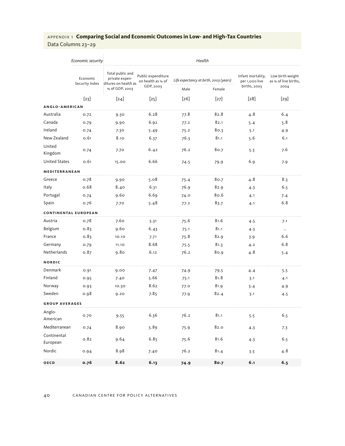## Data Columns 23–29

|                         | Economic security           | Health                                                     |                                         |      |                                        |                                     |                                          |  |
|-------------------------|-----------------------------|------------------------------------------------------------|-----------------------------------------|------|----------------------------------------|-------------------------------------|------------------------------------------|--|
|                         | Economic<br>Security Index  | Total public and<br>private expen-<br>ditures on health as | Public expenditure<br>on health as % of |      | Life expectancy at birth, 2003 (years) | Infant mortality,<br>per 1,000 live | Low birth weight<br>as % of live births, |  |
|                         |                             | % of GDP, 2003                                             | GDP, 2003                               | Male | Female                                 | births, 2003                        | 2004                                     |  |
|                         | $[23]$                      | $[24]$                                                     | $[25]$                                  | [26] | $[27]$                                 | $\lceil 28 \rceil$                  | $[29]$                                   |  |
| ANGLO-AMERICAN          |                             |                                                            |                                         |      |                                        |                                     |                                          |  |
| Australia               | 0.72                        | 9.30                                                       | 6.28                                    | 77.8 | 82.8                                   | 4.8                                 | 6.4                                      |  |
| Canada                  | 0.79                        | 9.90                                                       | 6.92                                    | 77.2 | 82.1                                   | 5.4                                 | 5.8                                      |  |
| Ireland                 | 0.74                        | 7.30                                                       | 5.49                                    | 75.2 | 80.3                                   | 5.1                                 | 4.9                                      |  |
| New Zealand             | 0.61                        | 8.10                                                       | 6.37                                    | 76.3 | 81.1                                   | 5.6                                 | 6.1                                      |  |
| United<br>Kingdom       | 0.74                        | 7.70                                                       | 6.42                                    | 76.2 | 80.7                                   | 5.3                                 | 7.6                                      |  |
| <b>United States</b>    | 0.61                        | 15.00                                                      | 6.66                                    | 74.5 | 79.9                                   | 6.9                                 | 7.9                                      |  |
| MEDITERRANEAN           |                             |                                                            |                                         |      |                                        |                                     |                                          |  |
| Greece                  | 0.78                        | 9.90                                                       | 5.08                                    | 75.4 | 80.7                                   | 4.8                                 | 8.3                                      |  |
| Italy                   | 0.68                        | 8.40                                                       | 6.31                                    | 76.9 | 82.9                                   | 4.3                                 | 6.5                                      |  |
| Portugal                | 0.74                        | 9.60                                                       | 6.69                                    | 74.0 | 80.6                                   | 4.1                                 | 7.4                                      |  |
| Spain                   | 0.76                        | 7.70                                                       | 5.48                                    | 77.2 | 83.7                                   | 4.1                                 | 6.8                                      |  |
|                         | <b>CONTINENTAL EUROPEAN</b> |                                                            |                                         |      |                                        |                                     |                                          |  |
| Austria                 | 0.78                        | 7.60                                                       | 5.31                                    | 75.6 | 81.6                                   | 4.5                                 | 7.1                                      |  |
| Belgium                 | 0.83                        | 9.60                                                       | 6.43                                    | 75.1 | 81.1                                   | 4.3                                 | $\ddots$                                 |  |
| France                  | 0.83                        | 10.10                                                      | 7.71                                    | 75.8 | 82.9                                   | 3.9                                 | 6.6                                      |  |
| Germany                 | 0.79                        | 11.10                                                      | 8.68                                    | 75.5 | 81.3                                   | 4.2                                 | 6.8                                      |  |
| Netherlands             | 0.87                        | 9.80                                                       | 6.12                                    | 76.2 | 80.9                                   | 4.8                                 | 5.4                                      |  |
| <b>NORDIC</b>           |                             |                                                            |                                         |      |                                        |                                     |                                          |  |
| Denmark                 | 0.91                        | 9.00                                                       | 7.47                                    | 74.9 | 79.5                                   | 4.4                                 | 5.5                                      |  |
| Finland                 | 0.95                        | 7.40                                                       | 5.66                                    | 75.1 | 81.8                                   | 3.1                                 | 4.1                                      |  |
| Norway                  | 0.93                        | 10.30                                                      | 8.62                                    | 77.0 | 81.9                                   | 3.4                                 | 4.9                                      |  |
| Sweden                  | 0.98                        | 9.20                                                       | 7.85                                    | 77.9 | 82.4                                   | 3.1                                 | 4.5                                      |  |
| <b>GROUP AVERAGES</b>   |                             |                                                            |                                         |      |                                        |                                     |                                          |  |
| Anglo-<br>American      | 0.70                        | 9.55                                                       | 6.36                                    | 76.2 | 81.1                                   | 5.5                                 | 6.5                                      |  |
| Mediterranean           | 0.74                        | 8.90                                                       | 5.89                                    | 75.9 | 82.0                                   | 4.3                                 | 7.3                                      |  |
| Continental<br>European | 0.82                        | 9.64                                                       | 6.85                                    | 75.6 | 81.6                                   | 4.3                                 | 6.5                                      |  |
| Nordic                  | 0.94                        | 8.98                                                       | 7.40                                    | 76.2 | 81.4                                   | 3.5                                 | 4.8                                      |  |
| OECD                    | 0.76                        | 8.62                                                       | 6.13                                    | 74.9 | 80.7                                   | 6.1                                 | 6.5                                      |  |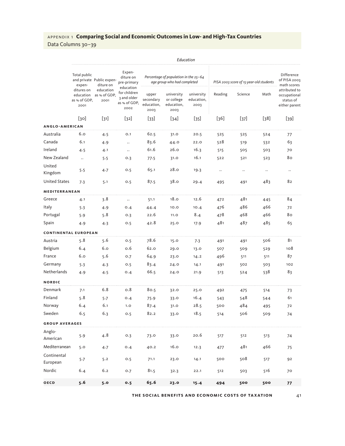Data Columns 30–39

*Education* Total public and private Public expenexpenditures on education as % of GDP, as % of GDP, 2001 diture on education 2001 Expenditure on pre-primary education for children 3 and older as % of GDP, 2002 *Percentage of population in the 25–64 age group who had completed PISA 2003 score of 15-year-old students* Difference of PISA 2003 math scores attributed to occupational status of either parent upper secondary education, 2003 university or college education, 2003 university education, 2003 Reading Science Math [30] [31] [32] [33] [34] [35] [36] [37] [38] [39] **anglo -a meric an** Australia 6.0 4.5 0.1 62.5 31.0 20.5 525 525 524 77 Canada 6.1 4.9 .. 83.6 44.0 22.0 528 519 532 63 Ireland 4.5 4.1 .. 61.6 26.0 16.3 515 505 503 70 New Zealand .. 5.5 0.3 77.5 31.0 16.1 522 521 523 80 United Kingdom 5.5 4.7 0.5 65.1 28.0 19.3 .. .. .. .. United States 7.3 5.1 0.5 87.5 38.0 29.4 495 491 483 82 **mediterr anean** Greece 4.1 3.8 .. 51.1 18.0 12.6 472 481 445 84 Italy 5.3 4.9 0.4 44.4 10.0 10.4 476 486 466 72 Portugal 5.9 5.8 0.3 22.6 11.0 8.4 478 468 466 80 Spain 4.9 4.3 0.5 42.8 25.0 17.9 481 487 485 65 **continental european** Austria 5.8 5.6 0.5 78.6 15.0 7.3 491 491 506 81 Belgium 6.4 6.0 0.6 62.0 29.0 13.0 507 509 529 108 France 6.0 5.6 0.7 64.9 23.0 14.2 496 511 511 87 Germany 5.3 4.3 0.5 83.4 24.0 14.1 491 502 503 102 Netherlands 4.9 4.5 0.4 66.5 24.0 21.9 513 524 538 83 **nordic** Denmark 7.1 6.8 0.8 80.5 32.0 25.0 492 475 514 73 Finland 5.8 5.7 0.4 75.9 33.0 16.4 543 548 544 61 Norway 6.4 6.1 1.0 87.4 31.0 28.5 500 484 495 72 Sweden 6.5 6.3 0.5 82.2 33.0 18.5 514 506 509 74 **group aver ages** Anglo-....<sub>...</sub>...<br>American 5.9 4.8 0.3 73.0 33.0 20.6 517 512 513 74 Mediterranean 5.0 4.7 0.4 40.2 16.0 12.3 477 481 466 7 Continental European 5.7 5.2 0.5 71.1 23.0 14.1 <sup>500</sup> <sup>508</sup> <sup>517</sup> <sup>92</sup> Nordic 6.4 6.2 0.7 81.5 32.3 22.1 512 503 516 70 **oecd 5.6 5.0 0.5 65.6 23.0 15.4 494 500 500 77**

**the social benefits and economic costs of ta x ation** 41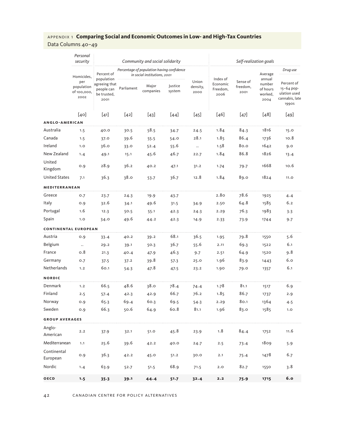|                             | Personal<br>security                     |                                                    | Community and social solidarity |                                                                            |                   |                           |                              | Self-realization goals |                                       |                                                                     |  |
|-----------------------------|------------------------------------------|----------------------------------------------------|---------------------------------|----------------------------------------------------------------------------|-------------------|---------------------------|------------------------------|------------------------|---------------------------------------|---------------------------------------------------------------------|--|
|                             | Homicides,                               | Percent of<br>population                           |                                 | Percentage of population having confidence<br>in social institutions, 2001 |                   |                           | Index of                     | Sense of               | Average<br>annual                     | Drug use                                                            |  |
|                             | per<br>population<br>of 100,000,<br>2002 | agreeing that<br>people can<br>be trusted,<br>2001 | Parliament                      | Major<br>companies                                                         | Justice<br>system | Union<br>density,<br>2000 | Economic<br>Freedom,<br>2006 | freedom,<br>2001       | number<br>of hours<br>worked,<br>2004 | Percent of<br>15-64 pop-<br>ulation used<br>cannabis, late<br>1990S |  |
|                             | [40]                                     | $[41]$                                             | $[42]$                          | $[43]$                                                                     | $[44]$            | $[45]$                    | $[46]$                       | $[47]$                 | $[48]$                                | [49]                                                                |  |
| <b>ANGLO-AMERICAN</b>       |                                          |                                                    |                                 |                                                                            |                   |                           |                              |                        |                                       |                                                                     |  |
| Australia                   | 1.5                                      | 40.0                                               | 30.5                            | 58.5                                                                       | 34.7              | 24.5                      | 1.84                         | 84.3                   | 1816                                  | 15.0                                                                |  |
| Canada                      | 1.5                                      | 37.0                                               | 39.6                            | 55.5                                                                       | 54.0              | 28.1                      | 1.85                         | 86.4                   | 1736                                  | 10.8                                                                |  |
| Ireland                     | 1.0                                      | 36.0                                               | 33.0                            | 52.4                                                                       | 55.6              | $\ddots$                  | 1.58                         | 80.0                   | 1642                                  | 9.0                                                                 |  |
| New Zealand                 | 1.4                                      | 49.1                                               | 15.1                            | 45.6                                                                       | 46.7              | 22.7                      | 1.84                         | 86.8                   | 1826                                  | 13.4                                                                |  |
| United<br>Kingdom           | 0.9                                      | 28.9                                               | 36.2                            | 40.2                                                                       | 47.1              | 31.2                      | 1.74                         | 79.7                   | 1668                                  | 10.6                                                                |  |
| <b>United States</b>        | 7.1                                      | 36.3                                               | 38.0                            | 53.7                                                                       | 36.7              | 12.8                      | 1.84                         | 89.0                   | 1824                                  | 11.0                                                                |  |
| <b>MEDITERRANEAN</b>        |                                          |                                                    |                                 |                                                                            |                   |                           |                              |                        |                                       |                                                                     |  |
| Greece                      | 0.7                                      | 23.7                                               | 24.3                            | 19.9                                                                       | 43.7              |                           | 2.80                         | 78.6                   | 1925                                  | 4.4                                                                 |  |
| Italy                       | 0.9                                      | 32.6                                               | 34.1                            | 49.6                                                                       | 31.5              | 34.9                      | 2.50                         | 64.8                   | 1585                                  | 6.2                                                                 |  |
| Portugal                    | 1.6                                      | 12.3                                               | 50.5                            | 55.1                                                                       | 42.3              | 24.3                      | 2.29                         | 76.3                   | 1983                                  | 3.3                                                                 |  |
| Spain                       | 1.0                                      | 34.0                                               | 49.6                            | 44.2                                                                       | 42.3              | 14.9                      | 2.33                         | 73.9                   | 1744                                  | 9.7                                                                 |  |
| <b>CONTINENTAL EUROPEAN</b> |                                          |                                                    |                                 |                                                                            |                   |                           |                              |                        |                                       |                                                                     |  |
| Austria                     | 0.9                                      | 33.4                                               | 40.2                            | 39.2                                                                       | 68.1              | 36.5                      | 1.95                         | 79.8                   | 1550                                  | 5.6                                                                 |  |
| Belgium                     | $\ldots$                                 | 29.2                                               | 39.1                            | 50.3                                                                       | 36.7              | 55.6                      | 2.11                         | 69.3                   | 1522                                  | 6.1                                                                 |  |
| France                      | 0.8                                      | 21.3                                               | 40.4                            | 47.9                                                                       | 46.3              | 9.7                       | 2.51                         | 64.9                   | 1520                                  | 9.8                                                                 |  |
| Germany                     | 0.7                                      | 37.5                                               | 37.2                            | 39.8                                                                       | 57.3              | 25.0                      | 1.96                         | 83.9                   | 1443                                  | 6.0                                                                 |  |
| Netherlands                 | 1.2                                      | 60.1                                               | 54.3                            | 47.8                                                                       | 47.5              | 23.2                      | 1.90                         | 79.0                   | 1357                                  | 6.1                                                                 |  |
| <b>NORDIC</b>               |                                          |                                                    |                                 |                                                                            |                   |                           |                              |                        |                                       |                                                                     |  |
| Denmark                     | 1.2                                      | 66.5                                               | 48.6                            | 38.0                                                                       | 78.4              | 74.4                      | 1.78                         | 81.1                   | 1517                                  | 6.9                                                                 |  |
| Finland                     | 2.5                                      | 57.4                                               | 42.3                            | 42.9                                                                       | 66.7              | 76.2                      | 1.85                         | 86.7                   | 1737                                  | 2.9                                                                 |  |
| Norway                      | 0.9                                      | 65.3                                               | 69.4                            | 60.3                                                                       | 69.5              | 54.3                      | 2.29                         | 80.1                   | 1364                                  | 4.5                                                                 |  |
| Sweden                      | 0.9                                      | 66.3                                               | 50.6                            | 64.9                                                                       | 60.8              | 81.1                      | 1.96                         | 83.0                   | 1585                                  | 1.0                                                                 |  |
| <b>GROUP AVERAGES</b>       |                                          |                                                    |                                 |                                                                            |                   |                           |                              |                        |                                       |                                                                     |  |
| Anglo-<br>American          | 2.2                                      | 37.9                                               | 32.1                            | 51.0                                                                       | 45.8              | 23.9                      | 1.8                          | 84.4                   | 1752                                  | 11.6                                                                |  |
| Mediterranean               | 1.1                                      | 25.6                                               | 39.6                            | 42.2                                                                       | 40.0              | 24.7                      | 2.5                          | 73.4                   | 1809                                  | 5.9                                                                 |  |
| Continental<br>European     | 0.9                                      | 36.3                                               | 42.2                            | 45.0                                                                       | 51.2              | 30.0                      | 2.1                          | 75.4                   | 1478                                  | 6.7                                                                 |  |
| Nordic                      | 1.4                                      | 63.9                                               | 52.7                            | 51.5                                                                       | 68.9              | 71.5                      | 2.0                          | 82.7                   | 1550                                  | 3.8                                                                 |  |
| <b>OECD</b>                 | 1.5                                      | $35 - 3$                                           | 39.1                            | 44.4                                                                       | 51.7              | 32.4                      | 2.2                          | 75.9                   | 1715                                  | 6.0                                                                 |  |

42 canadian centre for policy alternatives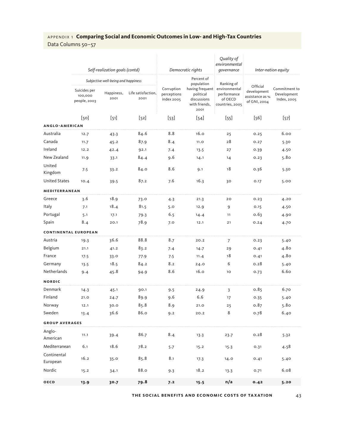Data Columns 50–57

|                             |                                         | Self-realization goals (contd)      |                            |                                         | Democratic rights                                                                  | Quality of<br>environmental<br>governance                                |                                                            | Inter-nation equity                         |  |  |
|-----------------------------|-----------------------------------------|-------------------------------------|----------------------------|-----------------------------------------|------------------------------------------------------------------------------------|--------------------------------------------------------------------------|------------------------------------------------------------|---------------------------------------------|--|--|
|                             |                                         | Subjective well-being and happiness |                            | Percent of                              |                                                                                    |                                                                          |                                                            |                                             |  |  |
|                             | Suicides per<br>100,000<br>people, 2003 | Happiness,<br>2001                  | Life satisfaction,<br>2001 | Corruption<br>perceptions<br>index 2005 | population<br>having frequent<br>political<br>discussions<br>with friends,<br>2001 | Ranking of<br>environmental<br>performance<br>of OECD<br>countries, 2005 | Official<br>development<br>assistance as %<br>of GNI, 2004 | Commitment to<br>Development<br>Index, 2005 |  |  |
|                             | [50]                                    | $[51]$                              | $[52]$                     | $[53]$                                  | $[54]$                                                                             | $[55]$                                                                   | $[56]$                                                     | $[57]$                                      |  |  |
| ANGLO-AMERICAN              |                                         |                                     |                            |                                         |                                                                                    |                                                                          |                                                            |                                             |  |  |
| Australia                   | 12.7                                    | 43.3                                | 84.6                       | 8.8                                     | 16.0                                                                               | 25                                                                       | 0.25                                                       | 6.00                                        |  |  |
| Canada                      | 11.7                                    | 45.2                                | 87.9                       | 8.4                                     | 11.0                                                                               | 28                                                                       | 0.27                                                       | 5.30                                        |  |  |
| Ireland                     | 12.2                                    | 42.4                                | 92.1                       | 7.4                                     | 13.5                                                                               | 27                                                                       | 0.39                                                       | 4.50                                        |  |  |
| New Zealand                 | 11.9                                    | 33.1                                | 84.4                       | 9.6                                     | 14.1                                                                               | 14                                                                       | 0.23                                                       | 5.80                                        |  |  |
| United<br>Kingdom           | 7.5                                     | 33.2                                | 84.0                       | 8.6                                     | 9.1                                                                                | 18                                                                       | 0.36                                                       | 5.30                                        |  |  |
| <b>United States</b>        | 10.4                                    | 39.5                                | 87.2                       | 7.6                                     | 16.3                                                                               | 30                                                                       | 0.17                                                       | 5.00                                        |  |  |
| MEDITERRANEAN               |                                         |                                     |                            |                                         |                                                                                    |                                                                          |                                                            |                                             |  |  |
| Greece                      | 3.6                                     | 18.9                                | 73.0                       | 4.3                                     | 21.3                                                                               | 20                                                                       | 0.23                                                       | 4.20                                        |  |  |
| Italy                       | 7.1                                     | 18.4                                | 81.5                       | 5.0                                     | 12.9                                                                               | 9                                                                        | 0.15                                                       | 4.50                                        |  |  |
| Portugal                    | 5.1                                     | 17.1                                | 79.3                       | 6.5                                     | 14.4                                                                               | 11                                                                       | 0.63                                                       | 4.90                                        |  |  |
| Spain                       | 8.4                                     | 20.1                                | 78.9                       | 7.0                                     | 12.1                                                                               | 21                                                                       | 0.24                                                       | 4.70                                        |  |  |
| <b>CONTINENTAL EUROPEAN</b> |                                         |                                     |                            |                                         |                                                                                    |                                                                          |                                                            |                                             |  |  |
| Austria                     | 19.3                                    | 36.6                                | 88.8                       | 8.7                                     | 20.2                                                                               | 7                                                                        | 0.23                                                       | 5.40                                        |  |  |
| Belgium                     | 21.1                                    | 41.2                                | 83.2                       | 7.4                                     | 14.7                                                                               | 29                                                                       | 0.41                                                       | 4.80                                        |  |  |
| France                      | 17.5                                    | 33.0                                | 77.9                       | 7.5                                     | 11.4                                                                               | 18                                                                       | 0.41                                                       | 4.80                                        |  |  |
| Germany                     | 13.5                                    | 18.5                                | 84.2                       | 8.2                                     | 24.0                                                                               | 6                                                                        | 0.28                                                       | 5.40                                        |  |  |
| Netherlands                 | 9.4                                     | 45.8                                | 94.9                       | 8.6                                     | 16.0                                                                               | 10                                                                       | 0.73                                                       | 6.60                                        |  |  |
| <b>NORDIC</b>               |                                         |                                     |                            |                                         |                                                                                    |                                                                          |                                                            |                                             |  |  |
| Denmark                     | 14.3                                    | 45.1                                | 90.1                       | 9.5                                     | 24.9                                                                               | 3                                                                        | 0.85                                                       | 6.70                                        |  |  |
| Finland                     | 21.0                                    | 24.7                                | 89.9                       | 9.6                                     | 6.6                                                                                | 17                                                                       | 0.35                                                       | 5.40                                        |  |  |
| Norway                      | 12.1                                    | 30.0                                | 85.8                       | 8.9                                     | 21.0                                                                               | 25                                                                       | 0.87                                                       | 5.80                                        |  |  |
| Sweden                      | 13.4                                    | 36.6                                | 86.0                       | 9.2                                     | 20.2                                                                               | 8                                                                        | 0.78                                                       | 6.40                                        |  |  |
| <b>GROUP AVERAGES</b>       |                                         |                                     |                            |                                         |                                                                                    |                                                                          |                                                            |                                             |  |  |
| Anglo-<br>American          | 11.1                                    | 39.4                                | 86.7                       | 8.4                                     | 13.3                                                                               | 23.7                                                                     | 0.28                                                       | 5.32                                        |  |  |
| Mediterranean               | 6.1                                     | 18.6                                | 78.2                       | 5.7                                     | 15.2                                                                               | 15.3                                                                     | 0.31                                                       | 4.58                                        |  |  |
| Continental<br>European     | 16.2                                    | 35.0                                | 85.8                       | 8.1                                     | 17.3                                                                               | 14.0                                                                     | 0.41                                                       | 5.40                                        |  |  |
| Nordic                      | 15.2                                    | 34.1                                | 88.0                       | 9.3                                     | 18.2                                                                               | 13.3                                                                     | 0.71                                                       | 6.08                                        |  |  |
| <b>OECD</b>                 | 13.9                                    | 30.7                                | 79.8                       | 7.2                                     | 15.5                                                                               | n/a                                                                      | 0.42                                                       | 5.20                                        |  |  |

**the social benefits and economic costs of ta x ation** 43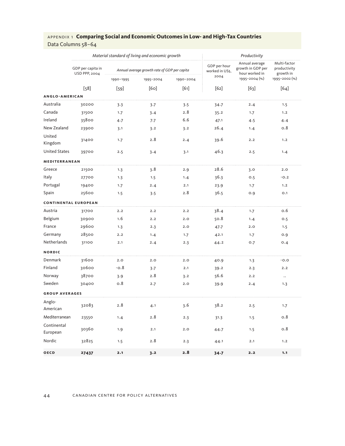|                         |                                           |           | Material standard of living and economic growth | Productivity |                                 |                                                       |                                           |
|-------------------------|-------------------------------------------|-----------|-------------------------------------------------|--------------|---------------------------------|-------------------------------------------------------|-------------------------------------------|
|                         | GDP per capita in<br><b>USD PPP, 2004</b> |           | Annual average growth rate of GDP per capita    |              | GDP per hour<br>worked in US\$, | Annual average<br>growth in GDP per<br>hour worked in | Multi-factor<br>productivity<br>growth in |
|                         |                                           | 1990-1995 | 1995-2004                                       | 1990-2004    | 2004                            | 1995-2004 (%)                                         | 1995-2002 (%)                             |
|                         | $[58]$                                    | $[59]$    | [60]                                            | $[61]$       | [62]                            | $[63]$                                                | $[64]$                                    |
| ANGLO-AMERICAN          |                                           |           |                                                 |              |                                 |                                                       |                                           |
| Australia               | 30200                                     | 3.3       | 3.7                                             | 3.5          | 34.7                            | 2.4                                                   | 1.5                                       |
| Canada                  | 31500                                     | 1.7       | 3.4                                             | 2.8          | 35.2                            | 1.7                                                   | 1.2                                       |
| Ireland                 | 35800                                     | 4.7       | 7.7                                             | 6.6          | 47.1                            | 4.5                                                   | 4.4                                       |
| New Zealand             | 23900                                     | 3.1       | 3.2                                             | 3.2          | 26.4                            | 1.4                                                   | 0.8                                       |
| United<br>Kingdom       | 31400                                     | 1.7       | 2.8                                             | 2.4          | 39.6                            | 2.2                                                   | 1.2                                       |
| <b>United States</b>    | 39700                                     | 2.5       | 3.4                                             | 3.1          | 46.3                            | 2.5                                                   | 1.4                                       |
| MEDITERRANEAN           |                                           |           |                                                 |              |                                 |                                                       |                                           |
| Greece                  | 21500                                     | 1.3       | 3.8                                             | 2.9          | 28.6                            | 3.0                                                   | 2.0                                       |
| Italy                   | 27700                                     | 1.3       | 1.5                                             | 1.4          | 36.3                            | 0.5                                                   | $-0.2$                                    |
| Portugal                | 19400                                     | 1.7       | 2.4                                             | 2.1          | 23.9                            | 1.7                                                   | 1.2                                       |
| Spain                   | 25600                                     | 1.5       | 3.5                                             | 2.8          | 36.5                            | 0.9                                                   | O.1                                       |
|                         | <b>CONTINENTAL EUROPEAN</b>               |           |                                                 |              |                                 |                                                       |                                           |
| Austria                 | 31700                                     | 2.2       | 2.2                                             | 2.2          | 38.4                            | 1.7                                                   | 0.6                                       |
| Belgium                 | 30900                                     | 1.6       | 2.2                                             | 2.0          | 50.8                            | 1.4                                                   | 0.5                                       |
| France                  | 29600                                     | 1.3       | 2.3                                             | 2.0          | 47.7                            | 2.0                                                   | 1.5                                       |
| Germany                 | 28500                                     | 2.2       | 1.4                                             | 1.7          | 42.1                            | 1.7                                                   | 0.9                                       |
| Netherlands             | 31100                                     | 2.1       | 2.4                                             | 2.3          | 44.2                            | 0.7                                                   | 0.4                                       |
| <b>NORDIC</b>           |                                           |           |                                                 |              |                                 |                                                       |                                           |
| Denmark                 | 31600                                     | 2.0       | 2.0                                             | 2.0          | 40.9                            | 1.3                                                   | $-0.0$                                    |
| Finland                 | 30600                                     | $-0.8$    | 3.7                                             | 2.1          | 39.2                            | 2.3                                                   | 2.2                                       |
| Norway                  | 38700                                     | 3.9       | 2.8                                             | 3.2          | 56.6                            | 2.2                                                   | $\ldots$                                  |
| Sweden                  | 30400                                     | 0.8       | 2.7                                             | 2.0          | 39.9                            | 2.4                                                   | 1.3                                       |
| <b>GROUP AVERAGES</b>   |                                           |           |                                                 |              |                                 |                                                       |                                           |
| Anglo-<br>American      | 32083                                     | 2.8       | 4.1                                             | 3.6          | 38.2                            | 2.5                                                   | 1.7                                       |
| Mediterranean           | 23550                                     | 1.4       | 2.8                                             | 2.3          | 31.3                            | 1.5                                                   | 0.8                                       |
| Continental<br>European | 30360                                     | 1.9       | 2.1                                             | 2.0          | 44.7                            | 1.5                                                   | 0.8                                       |
| Nordic                  | 32825                                     | 1.5       | 2.8                                             | 2.3          | 44.1                            | 2.1                                                   | 1.2                                       |
| OECD                    | 27437                                     | 2.1       | 3.2                                             | 2.8          | $34 - 7$                        | 2.2                                                   | 1.1                                       |

#### 44 canadian centre for policy alternatives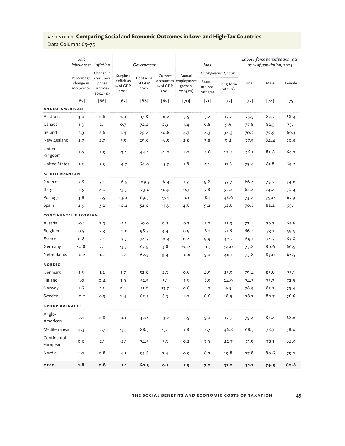Data Columns 65–75

|                             | Unit<br>labour cost                  | Inflation                                                   | Government                                  |                              | Jobs                         |                                                        |                                   | Labour force participation rate<br>as % of population, 2005 |        |        |        |
|-----------------------------|--------------------------------------|-------------------------------------------------------------|---------------------------------------------|------------------------------|------------------------------|--------------------------------------------------------|-----------------------------------|-------------------------------------------------------------|--------|--------|--------|
|                             | Percentage<br>change in<br>2003-2004 | Change in<br>consumer<br>prices<br>in 2003-<br>$2004$ $(*)$ | Surplus/<br>deficit as<br>% of GDP,<br>2004 | Debt as %<br>of GDP,<br>2004 | Current<br>% of GDP,<br>2004 | Annual<br>account as employment<br>growth,<br>2005 (%) | Stand-<br>ardized<br>rate $(\% )$ | Unemployment, 2005<br>Long-term<br>rate $(\% )$             | Total  | Male   | Female |
|                             | [65]                                 | [66]                                                        | $[67]$                                      | $[68]$                       | $[69]$                       | [70]                                                   | $[71]$                            | $[72]$                                                      | $[73]$ | $[74]$ | $[75]$ |
| <b>ANGLO-AMERICAN</b>       |                                      |                                                             |                                             |                              |                              |                                                        |                                   |                                                             |        |        |        |
| Australia                   | 3.0                                  | 2.6                                                         | 1.0                                         | 17.8                         | $-6.2$                       | 3.5                                                    | 5.2                               | 17.7                                                        | 75.5   | 82.7   | 68.4   |
| Canada                      | 1.3                                  | 2.1                                                         | 0.7                                         | 72.2                         | 2.3                          | 1.4                                                    | 6.8                               | 9.6                                                         | 77.8   | 82.5   | 73.1   |
| Ireland                     | 2.3                                  | 2.6                                                         | 1.4                                         | 29.4                         | $-0.8$                       | 4.7                                                    | 4.3                               | 34.3                                                        | 70.2   | 79.9   | 60.3   |
| New Zealand                 | 2.7                                  | 2.7                                                         | 5.5                                         | 29.0                         | -6.5                         | 2.8                                                    | 3.8                               | 9.4                                                         | 77.5   | 84.4   | 70.8   |
| United<br>Kingdom           | 1.9                                  | 3.5                                                         | $-3.2$                                      | 44.2                         | $-2.0$                       | 1.0                                                    | 4.6                               | 22.4                                                        | 76.1   | 82.8   | 69.7   |
| <b>United States</b>        | 1.5                                  | 3.3                                                         | $-4.7$                                      | 64.0                         | $-5.7$                       | 1.8                                                    | 5.1                               | 11.8                                                        | 75.4   | 81.8   | 69.2   |
| <b>MEDITERRANEAN</b>        |                                      |                                                             |                                             |                              |                              |                                                        |                                   |                                                             |        |        |        |
| Greece                      | 7.8                                  | 3.1                                                         | -6.5                                        | 109.3                        | $-6.4$                       | 1.3                                                    | 9.8                               | 53.7                                                        | 66.8   | 79.2   | 54.6   |
| Italy                       | 2.5                                  | 2.0                                                         | $-3.3$                                      | 123.0                        | $-0.9$                       | 0.7                                                    | 7.8                               | 52.2                                                        | 62.4   | 74.4   | 50.4   |
| Portugal                    | 3.8                                  | 2.5                                                         | $-3.0$                                      | 69.5                         | $-7.8$                       | O.1                                                    | 8.1                               | 48.6                                                        | 73.4   | 79.0   | 67.9   |
| Spain                       | 2.9                                  | 3.2                                                         | $-0.2$                                      | 52.0                         | $-5.3$                       | 4.8                                                    | 9.2                               | 32.6                                                        | 70.8   | 82.2   | 59.1   |
| <b>CONTINENTAL EUROPEAN</b> |                                      |                                                             |                                             |                              |                              |                                                        |                                   |                                                             |        |        |        |
| Austria                     | $-0.1$                               | 2.9                                                         | $-1.1$                                      | 69.0                         | 0.2                          | 0.3                                                    | 5.2                               | 25.3                                                        | 72.4   | 79.3   | 65.6   |
| Belgium                     | 0.5                                  | 2.3                                                         | $-0.0$                                      | 98.7                         | 3.4                          | 0.9                                                    | 8.1                               | 51.6                                                        | 66.4   | 73.1   | 59.5   |
| France                      | 0.8                                  | 2.1                                                         | $-3.7$                                      | 74.7                         | $-0.4$                       | O.4                                                    | 9.9                               | 42.5                                                        | 69.1   | 74.5   | 63.8   |
| Germany                     | $-0.8$                               | 2.1                                                         | $-3.7$                                      | 67.9                         | 3.8                          | $-0.2$                                                 | 11.3                              | 54.0                                                        | 73.8   | 80.6   | 66.9   |
| Netherlands                 | $-0.2$                               | 1.2                                                         | $-2.1$                                      | 62.3                         | 9.4                          | -0.6                                                   | 5.0                               | 40.1                                                        | 75.8   | 83.0   | 68.5   |
| <b>NORDIC</b>               |                                      |                                                             |                                             |                              |                              |                                                        |                                   |                                                             |        |        |        |
| Denmark                     | 1.5                                  | 1.2                                                         | 1.7                                         | 52.8                         | 2.3                          | 0.6                                                    | 4.9                               | 25.9                                                        | 79.4   | 83.6   | 75.1   |
| Finland                     | 1.0                                  | 0.4                                                         | 1.9                                         | 52.5                         | 5.1                          | 1.5                                                    | 8.5                               | 24.9                                                        | 74.3   | 75.7   | 72.9   |
| Norway                      | 1.6                                  | 1.1                                                         | 11.4                                        | 51.2                         | 13.7                         | 0.6                                                    | 4.7                               | 9.5                                                         | 78.9   | 82.3   | 75.4   |
| Sweden                      | $-0.2$                               | 0.3                                                         | 1.4                                         | 62.5                         | 8.3                          | 1.0                                                    | 6.6                               | 18.9                                                        | 78.7   | 80.7   | 76.6   |
| <b>GROUP AVERAGES</b>       |                                      |                                                             |                                             |                              |                              |                                                        |                                   |                                                             |        |        |        |
| Anglo-<br>American          | 2.1                                  | 2.8                                                         | 0.1                                         | 42.8                         | $-3.2$                       | 2.5                                                    | 5.0                               | 17.5                                                        | 75.4   | 82.4   | 68.6   |
| Mediterranean               | 4.3                                  | 2.7                                                         | $-3.3$                                      | 88.5                         | $-5.1$                       | 1.8                                                    | 8.7                               | 46.8                                                        | 68.3   | 78.7   | 58.0   |
| Continental<br>European     | 0.0                                  | 2.1                                                         | $-2.1$                                      | 74.5                         | 3.3                          | 0.2                                                    | 7.9                               | 42.7                                                        | 71.5   | 78.1   | 64.9   |
| Nordic                      | 1.0                                  | 0.8                                                         | 4.1                                         | 54.8                         | 7.4                          | 0.9                                                    | 6.2                               | 19.8                                                        | 77.8   | 80.6   | 75.0   |
| OECD                        | 1.8                                  | 2.8                                                         | $-1.1$                                      | 60.3                         | 0.1                          | 1.3                                                    | 7.2                               | 31.2                                                        | 71.1   | 79.5   | 62.8   |

#### **the social benefits and economic costs of ta x ation** 45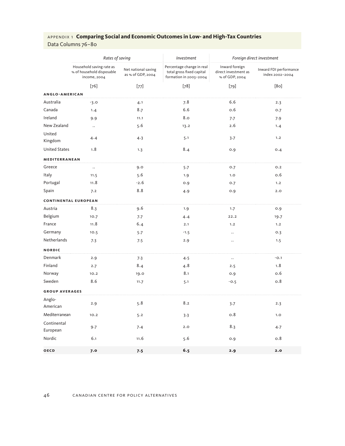Data Columns 76–80

|                         | Rates of saving                                                       |                                          | Investment                                                                       | Foreign direct investment                                |                                           |  |
|-------------------------|-----------------------------------------------------------------------|------------------------------------------|----------------------------------------------------------------------------------|----------------------------------------------------------|-------------------------------------------|--|
|                         | Household saving rate as<br>% of household disposable<br>income, 2004 | Net national saving<br>as % of GDP, 2004 | Percentage change in real<br>total gross fixed capital<br>formation in 2003-2004 | Inward foreign<br>direct investment as<br>% of GDP, 2004 | Inward FDI performance<br>index 2002-2004 |  |
|                         | $[76]$                                                                | $[77]$                                   | $[78]$                                                                           | $[79]$                                                   | [80]                                      |  |
| ANGLO-AMERICAN          |                                                                       |                                          |                                                                                  |                                                          |                                           |  |
| Australia               | $-3.0$                                                                | 4.1                                      | 7.8                                                                              | 6.6                                                      | 2.3                                       |  |
| Canada                  | 1.4                                                                   | 8.7                                      | 6.6                                                                              | 0.6                                                      | 0.7                                       |  |
| Ireland                 | 9.9                                                                   | 11.1                                     | 8.0                                                                              | 7.7                                                      | 7.9                                       |  |
| New Zealand             | $\ddotsc$                                                             | 5.6                                      | 13.2                                                                             | 2.6                                                      | 1.4                                       |  |
| United<br>Kingdom       | 4.4                                                                   | 4.3                                      | 5.1                                                                              | 3.7                                                      | 1.2                                       |  |
| <b>United States</b>    | 1.8                                                                   | 1.3                                      | 8.4                                                                              | 0.9                                                      | 0.4                                       |  |
| MEDITERRANEAN           |                                                                       |                                          |                                                                                  |                                                          |                                           |  |
| Greece                  | $\ldots$                                                              | 9.0                                      | 5.7                                                                              | 0.7                                                      | 0.2                                       |  |
| Italy                   | 11.5                                                                  | 5.6                                      | 1.9                                                                              | 1.0                                                      | 0.6                                       |  |
| Portugal                | 11.8                                                                  | $-2.6$                                   | 0.9                                                                              | 0.7                                                      | 1.2                                       |  |
| Spain                   | 7.2                                                                   | 8.8                                      | 4.9                                                                              | 0.9                                                      | 2.0                                       |  |
|                         | <b>CONTINENTAL EUROPEAN</b>                                           |                                          |                                                                                  |                                                          |                                           |  |
| Austria                 | 8.3                                                                   | 9.6                                      | 1.9                                                                              | 1.7                                                      | 0.9                                       |  |
| Belgium                 | 10.7                                                                  | 7.7                                      | 4.4                                                                              | 22.2                                                     | 19.7                                      |  |
| France                  | 11.8                                                                  | 6.4                                      | 2.1                                                                              | 1.2                                                      | 1.2                                       |  |
| Germany                 | 10.5                                                                  | 5.7                                      | $-1.5$                                                                           | $\ddot{\phantom{0}}$                                     | 0.3                                       |  |
| Netherlands             | 7.3                                                                   | 7.5                                      | 2.9                                                                              | $\ddot{\phantom{0}}$                                     | 1.5                                       |  |
| <b>NORDIC</b>           |                                                                       |                                          |                                                                                  |                                                          |                                           |  |
| Denmark                 | 2.9                                                                   | 7.3                                      | 4.5                                                                              | $\ddotsc$                                                | $-0.1$                                    |  |
| Finland                 | 2.7                                                                   | 8.4                                      | 4.8                                                                              | 2.5                                                      | 1.8                                       |  |
| Norway                  | 10.2                                                                  | 19.0                                     | 8.1                                                                              | 0.9                                                      | 0.6                                       |  |
| Sweden                  | 8.6                                                                   | 11.7                                     | 5.1                                                                              | $-0.5$                                                   | 0.8                                       |  |
| <b>GROUP AVERAGES</b>   |                                                                       |                                          |                                                                                  |                                                          |                                           |  |
| Anglo-<br>American      | 2.9                                                                   | 5.8                                      | 8.2                                                                              | 3.7                                                      | 2.3                                       |  |
| Mediterranean           | 10.2                                                                  | 5.2                                      | 3.3                                                                              | 0.8                                                      | 1.0                                       |  |
| Continental<br>European | 9.7                                                                   | 7.4                                      | 2.0                                                                              | 8.3                                                      | 4.7                                       |  |
| Nordic                  | 6.1                                                                   | 11.6                                     | 5.6                                                                              | 0.9                                                      | 0.8                                       |  |
| OECD                    | 7.0                                                                   | 7.5                                      | 6.5                                                                              | 2.9                                                      | 2.0                                       |  |

#### 46 canadian centre for policy alternatives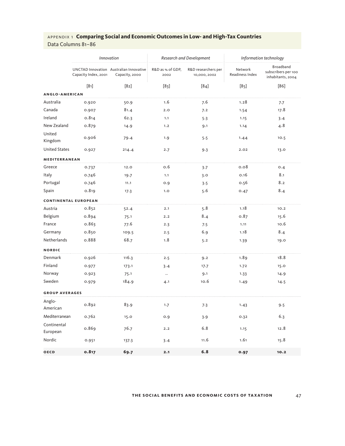|                         |                             | Innovation                                                |                          | Research and Development           | Information technology     |                                                              |  |
|-------------------------|-----------------------------|-----------------------------------------------------------|--------------------------|------------------------------------|----------------------------|--------------------------------------------------------------|--|
|                         | Capacity Index, 2001        | UNCTAD Innovation Australian Innovative<br>Capacity, 2000 | R&D as % of GDP,<br>2002 | R&D researchers per<br>10,000,2002 | Network<br>Readiness Index | <b>Broadband</b><br>subscribers per 100<br>inhabitants, 2004 |  |
|                         | [81]                        | [82]                                                      | $[83]$                   | $[84]$                             | $[85]$                     | $[86]$                                                       |  |
| <b>ANGLO-AMERICAN</b>   |                             |                                                           |                          |                                    |                            |                                                              |  |
| Australia               | 0.920                       | 50.9                                                      | 1.6                      | 7.6                                | 1.28                       | 7.7                                                          |  |
| Canada                  | 0.907                       | 81.4                                                      | 2.0                      | 7.2                                | 1.54                       | 17.8                                                         |  |
| Ireland                 | 0.814                       | 62.3                                                      | 1.1                      | 5.3                                | 1.15                       | 3.4                                                          |  |
| New Zealand             | 0.879                       | 14.9                                                      | 1.2                      | 9.1                                | 1.14                       | 4.8                                                          |  |
| United<br>Kingdom       | 0.906                       | 79.4                                                      | 1.9                      | 5.5                                | 1.44                       | 10.5                                                         |  |
| <b>United States</b>    | 0.927                       | 214.4                                                     | 2.7                      | 9.3                                | 2.02                       | 13.0                                                         |  |
| MEDITERRANEAN           |                             |                                                           |                          |                                    |                            |                                                              |  |
| Greece                  | 0.737                       | 12.0                                                      | 0.6                      | 3.7                                | 0.08                       | 0.4                                                          |  |
| Italy                   | 0.746                       | 19.7                                                      | 1.1                      | 3.0                                | 0.16                       | 8.1                                                          |  |
| Portugal                | 0.746                       | 11.1                                                      | 0.9                      | 3.5                                | 0.56                       | 8.2                                                          |  |
| Spain                   | 0.819                       | 17.3                                                      | 1.0                      | 5.6                                | 0.47                       | 8.4                                                          |  |
|                         | <b>CONTINENTAL EUROPEAN</b> |                                                           |                          |                                    |                            |                                                              |  |
| Austria                 | 0.852                       | 52.4                                                      | 2.1                      | 5.8                                | 1.18                       | 10.2                                                         |  |
| Belgium                 | 0.894                       | 75.1                                                      | 2.2                      | 8.4                                | 0.87                       | 15.6                                                         |  |
| France                  | 0.863                       | 77.6                                                      | 2.3                      | 7.5                                | 1.11                       | 10.6                                                         |  |
| Germany                 | 0.850                       | 109.5                                                     | 2.5                      | 6.9                                | 1.18                       | 8.4                                                          |  |
| Netherlands             | 0.888                       | 68.7                                                      | 1.8                      | 5.2                                | 1.39                       | 19.0                                                         |  |
| <b>NORDIC</b>           |                             |                                                           |                          |                                    |                            |                                                              |  |
| Denmark                 | 0.926                       | 116.3                                                     | 2.5                      | 9.2                                | 1.89                       | 18.8                                                         |  |
| Finland                 | 0.977                       | 173.1                                                     | 3.4                      | 17.7                               | 1.72                       | 15.0                                                         |  |
| Norway                  | 0.923                       | 75.1                                                      | $\ldots$                 | 9.1                                | 1.33                       | 14.9                                                         |  |
| Sweden                  | 0.979                       | 184.9                                                     | 4.1                      | 10.6                               | 1.49                       | 14.5                                                         |  |
| <b>GROUP AVERAGES</b>   |                             |                                                           |                          |                                    |                            |                                                              |  |
| Anglo-<br>American      | 0.892                       | 83.9                                                      | 1.7                      | 7.3                                | 1.43                       | 9.5                                                          |  |
| Mediterranean           | 0.762                       | 15.0                                                      | 0.9                      | 3.9                                | 0.32                       | 6.3                                                          |  |
| Continental<br>European | 0.869                       | 76.7                                                      | 2.2                      | 6.8                                | 1.15                       | 12.8                                                         |  |
| Nordic                  | 0.951                       | 137.3                                                     | 3.4                      | 11.6                               | 1.61                       | 15.8                                                         |  |
| <b>OECD</b>             | 0.817                       | 69.7                                                      | 2.1                      | $6.8$                              | 0.97                       | 10.2                                                         |  |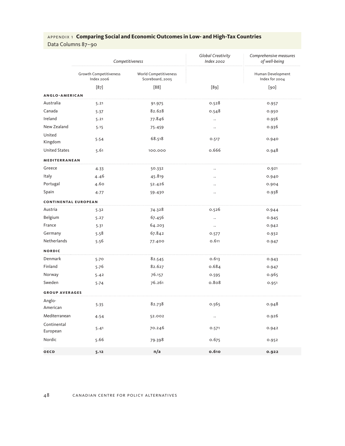Data Columns 87–90

|                             | Competitiveness                      |                                           | Global Creativity<br><b>Index 2002</b> | Comprehensive measures<br>of well-being |
|-----------------------------|--------------------------------------|-------------------------------------------|----------------------------------------|-----------------------------------------|
|                             | Growth Competitiveness<br>Index 2006 | World Competitiveness<br>Scoreboard, 2005 |                                        | Human Development<br>Index for 2004     |
|                             | $[87]$                               | [88]                                      | $[89]$                                 | [90]                                    |
| ANGLO-AMERICAN              |                                      |                                           |                                        |                                         |
| Australia                   | 5.21                                 | 91.975                                    | 0.528                                  | 0.957                                   |
| Canada                      | 5.37                                 | 82.628                                    | 0.548                                  | 0.950                                   |
| Ireland                     | 5.21                                 | 77.846                                    | $\cdot$ .                              | 0.956                                   |
| New Zealand                 | 5.15                                 | 75.459                                    |                                        | 0.936                                   |
| United<br>Kingdom           | 5.54                                 | 68.518                                    | 0.517                                  | 0.940                                   |
| <b>United States</b>        | 5.61                                 | 100.000                                   | 0.666                                  | 0.948                                   |
| MEDITERRANEAN               |                                      |                                           |                                        |                                         |
| Greece                      | 4.33                                 | 50.332                                    | $\ddot{\phantom{0}}$                   | 0.921                                   |
| Italy                       | 4.46                                 | 45.819                                    | $\ddot{\phantom{0}}$                   | 0.940                                   |
| Portugal                    | 4.60                                 | 52.426                                    | $\ddotsc$                              | 0.904                                   |
| Spain                       | 4.77                                 | 59.430                                    | $\ddotsc$                              | 0.938                                   |
| <b>CONTINENTAL EUROPEAN</b> |                                      |                                           |                                        |                                         |
| Austria                     | 5.32                                 | 74.328                                    | 0.526                                  | 0.944                                   |
| Belgium                     | 5.27                                 | 67.456                                    | $\ddot{\phantom{0}}$                   | 0.945                                   |
| France                      | 5.31                                 | 64.203                                    | $\ldots$                               | 0.942                                   |
| Germany                     | 5.58                                 | 67.842                                    | 0.577                                  | 0.932                                   |
| Netherlands                 | 5.56                                 | 77.400                                    | 0.611                                  | 0.947                                   |
| <b>NORDIC</b>               |                                      |                                           |                                        |                                         |
| Denmark                     | 5.70                                 | 82.545                                    | 0.613                                  | 0.943                                   |
| Finland                     | 5.76                                 | 82.627                                    | 0.684                                  | 0.947                                   |
| Norway                      | 5.42                                 | 76.157                                    | 0.595                                  | 0.965                                   |
| Sweden                      | 5.74                                 | 76.261                                    | 0.808                                  | 0.951                                   |
| <b>GROUP AVERAGES</b>       |                                      |                                           |                                        |                                         |
| Anglo-<br>American          | 5.35                                 | 82.738                                    | 0.565                                  | 0.948                                   |
| Mediterranean               | 4.54                                 | 52.002                                    | $\ldots$                               | 0.926                                   |
| Continental<br>European     | 5.41                                 | 70.246                                    | 0.571                                  | 0.942                                   |
| Nordic                      | 5.66                                 | 79.398                                    | 0.675                                  | 0.952                                   |
| <b>OECD</b>                 | 5.12                                 | n/a                                       | 0.610                                  | 0.922                                   |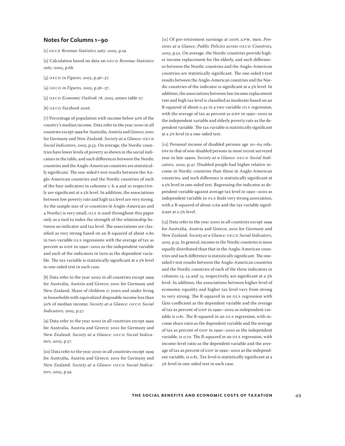#### **Notes for Columns 1–90**

[1] *OECD Revenue Statistics 1965–2005*, p.19.

[2] Calculation based on data on *OECD Revenue Statistics 1965–2005*, p.68.

[3] *OECD in Figures, 2005*, p.36–37.

- [4] *OECD in Figures, 2005*, p.36–37.
- [5] *OECD Economic Outlook 78, 2005*, annex table 27.
- [6] *OECD Factbook 2006.*

[7] Percentage of population with income below 50% of the country's median income. Data refer to the year 2000 in all countries except 1999 for Australia, Austria and Greece; 2001 for Germany and New Zealand. *Society at a Glance: OECD Social Indicators, 2005*, p.53. On average, the Nordic countries have lower levels of poverty as shown in the social indicators in the table, and such differences between the Nordic countries and the Anglo-American countries are statistically significant. The one-sided t-test results between the Anglo-American countries and the Nordic countries of each of the four indicators in columns 7, 8, 9 and 10 respectively are significant at a 5% level. In addition, the associations between low poverty rate and high tax level are very strong. As the sample size of 10 countries (6 Anglo-American and 4 Nordic) is very small, OLS is used throughout this paper only as a tool to index the strength of the relationship between an indicator and tax level. The associations are classified as very strong based on an R-squared of about 0.80 in two-variable OLS regressions with the average of tax as percent as GDP in 1990–2002 as the independent variable and each of the indicators in turn as the dependent variable. The tax variable is statistically significant at a 5% level in one-sided test in each case.

[8] Data refer to the year 2000 in all countries except 1999 for Australia, Austria and Greece; 2001 for Germany and New Zealand. Share of children 17 years and under living in households with equivalized disposable income less than 50% of median income; *Society at a Glance: OECD Social Indicators, 2005*, p.57.

[9] Data refer to the year 2000 in all countries except 1999 for Australia, Austria and Greece; 2001 for Germany and New Zealand. *Society at a Glance: OECD Social Indicators, 2005*, p.57.

[10] Data refer to the year 2000 in all countries except 1999 for Australia, Austria and Greece; 2001 for Germany and New Zealand. *Society at a Glance: OECD Social Indicators, 2005*, p.59.

[11] Of pre-retirement earnings at 100% APW, men. *Pensions at a Glance: Public Policies across OECD Countries, 2005*, p.52. On average, the Nordic countries provide higher income replacement for the elderly, and such differences between the Nordic countries and the Anglo-American countries are statistically significant. The one-sided t-test results between the Anglo-American countries and the Nordic countries of the indicator is significant at a 5% level. In addition, the associations between low income replacement rate and high tax level is classified as moderate based on an R-squared of about 0.42 in a two-variable OLS regression, with the average of tax as percent as GDP in 1990–2002 as the independent variable and elderly poverty rate as the dependent variable. The tax variable is statistically significant at a 5% level in a one-sided test.

[12] Personal income of disabled persons age 20–64 relative to that of non-disabled persons in most recent surveyed year in late 1990s. *Society at a Glance: OECD Social Indicators, 2002*, p.47. Disabled people had higher relative income in Nordic countries than those in Anglo-American countries, and such difference is statistically significant at a 5% level in one-sided test. Regressing the indicator as dependent variable against average tax level in 1990–2002 as independent variable in OLS finds very strong association, with a R-squared of about 0.69 and the tax variable significant at a 5% level.

[13] Data refer to the year 2000 in all countries except 1999 for Australia, Austria and Greece; 2001 for Germany and New Zealand. *Society at a Glance: OECD Social Indicators, 2005*, p.55. In general, income in the Nordic countries is more equally distributed than that in the Anglo-American countries and such difference is statistically significant. The onesided t-test results between the Anglo-American countries and the Nordic countries of each of the three indicators in columns 13, 14 and 15, respectively, are significant at a 5% level. In addition, the associations between higher level of economic equality and higher tax level vary from strong to very strong. The R-squared in an OLS regression with Gini coefficient as the dependent variable and the average of tax as percent of GDP in 1990–2002 as independent variable is 0.81. The R-squared in an OLS regression, with income share ratio as the dependent variable and the average of tax as percent of GDP in 1990–2002 as the independent variable, is 0.70. The R-squared in an OLS regression, with income-level ratio as the dependent variable and the average of tax as percent of GDP in 1990–2002 as the independent variable, is 0.81. Tax level is statistically significant at a 5% level in one-sided test in each case.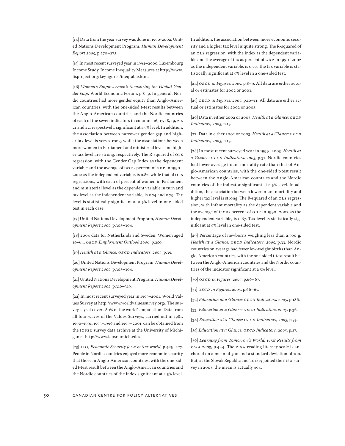[14] Data from the year survey was done in 1990-2002. United Nations Development Program, *Human Development Report 2005*, p.270–273.

[15] In most recent surveyed year in 1994–2000. Luxembourg Income Study, Income Inequality Measures at http://www. lisproject.org/keyfigures/ineqtable.htm.

[16] *Women's Empowerment: Measuring the Global Gender Gap*, World Economic Forum, p.8–9. In general, Nordic countries had more gender equity than Anglo-American countries, with the one-sided t-test results between the Anglo-American countries and the Nordic countries of each of the seven indicators in columns 16, 17, 18, 19, 20, 21 and 22, respectively, significant at a 5% level. In addition, the association between narrower gender gap and higher tax level is very strong, while the associations between more women in Parliament and ministerial level and higher tax level are strong, respectively. The R-squared of OLS regression, with the Gender Gap Index as the dependent variable and the average of tax as percent of GDP in 1990– 2002 as the independent variable, is 0.82, while that of OLS regressions, with each of percent of women in Parliament and ministerial level as the dependent variable in turn and tax level as the independent variable, is 0.74 and 0.79. Tax level is statistically significant at a 5% level in one-sided test in each case.

[17] United Nations Development Program, *Human Development Report 2005*, p.303–304.

[18] 2004 data for Netherlands and Sweden. Women aged 15–64. *OECD Employment Outlook 2006*, p.250.

[19] *Health at a Glance: OECD Indicators, 2005*, p.39.

[20] United Nations Development Program, *Human Development Report 2005*, p.303–304.

[21] United Nations Development Program, *Human Development Report 2005*, p.316–319.

[22] In most recent surveyed year in 1995–2001. World Values Survey at http://www.worldvaluessurvey.org/. The survey says it covers 80% of the world's population. Data from all four waves of the Values Surveys, carried out in 1981, 1990–1991, 1995–1996 and 1999–2001, can be obtained from the ICPSR survey data archive at the University of Michigan at http://www.icpsr.umich.edu/.

[23] ILO, *Economic Security for a better world*, p.425–427. People in Nordic countries enjoyed more economic security that those in Anglo-American countries, with the one-sided t-test result between the Anglo-American countries and the Nordic countries of the index significant at a 5% level. In addition, the association between more economic security and a higher tax level is quite strong. The R-squared of an OLS regression, with the index as the dependent variable and the average of tax as percent of GDP in 1990–2002 as the independent variable, is 0.79. The tax variable is statistically significant at 5% level in a one-sided test.

[24] *OECD in Figures, 2005*, p.8–9. All data are either actual or estimates for 2002 or 2003.

[25] *OECD in Figures, 2005*, p.10–11. All data are either actual or estimates for 2002 or 2003.

[26] Data in either 2002 or 2003. *Health at a Glance: OECD Indicators, 2005*, p.19.

[27] Data in either 2002 or 2003. *Health at a Glance: OECD Indicators, 2005*, p.19.

[28] In most recent surveyed year in 1999–2003. *Health at a Glance: OECD Indicators, 2005*, p.31. Nordic countries had lower average infant mortality rate than that of Anglo-American countries, with the one-sided t-test result between the Anglo-American countries and the Nordic countries of the indicator significant at a 5% level. In addition, the association between lower infant mortality and higher tax level is strong. The R-squared of an OLS regression, with infant mortality as the dependent variable and the average of tax as percent of GDP in 1990–2002 as the independent variable, is 0.67. Tax level is statistically significant at 5% level in one-sided test.

[29] Percentage of newborns weighing less than 2,500 g. *Health at a Glance: OECD Indicators, 2005*, p.33. Nordic countries on average had fewer low-weight births than Anglo-American countries, with the one-sided t-test result between the Anglo-American countries and the Nordic countries of the indicator significant at a 5% level.

[30] *OECD in Figures, 2005*, p.66–67.

[31] *OECD in Figures, 2005*, p.66–67.

[32] *Education at a Glance: OECD Indicators, 2005*, p.186.

[33] *Education at a Glance: OECD Indicators, 2005*, p.36.

[34] *Education at a Glance: OECD Indicators, 2005*, p.35.

[35] *Education at a Glance: OECD Indicators, 2005*, p.37.

[36] *Learning from Tomorrow's World: First Results from PISA 2003*, p.444. The PISA reading literacy scale is anchored on a mean of 500 and a standard deviation of 100. But, as the Slovak Republic and Turkey joined the PISA survey in 2003, the mean is actually 494.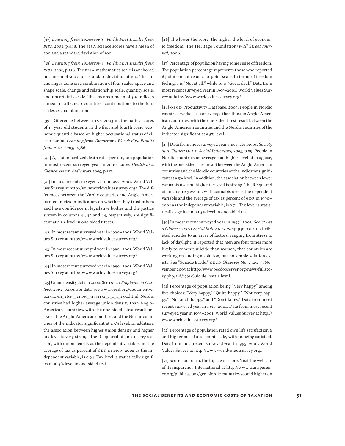[37] *Learning from Tomorrow's World: First Results from PISA 2003*, p.448. The PISA science scores have a mean of 500 and a standard deviation of 100.

[38] *Learning from Tomorrow's World: First Results from PISA 2003*, p.356. The PISA mathematics scale is anchored on a mean of 500 and a standard deviation of 100. The anchoring is done on a combination of four scales: space and shape scale, change and relationship scale, quantity scale, and uncertainty scale. That means a mean of 500 reflects a mean of all OECD countries' contributions to the four scales as a combination.

[39] Difference between PISA 2003 mathematics scores of 15-year-old students in the first and fourth socio-economic quantile based on higher occupational status of either parent. *Learning from Tomorrow's World: First Results from PISA 2003*, p.386.

[40] Age-standardized death rates per 100,000 population in most recent surveyed year in 2000–2002. *Health at a Glance: OECD Indicators 2005*, p.117.

[41] In most recent surveyed year in 1995–2001. World Values Survey at http://www.worldvaluessurvey.org/. The differences between the Nordic countries and Anglo-American countries in indicators on whether they trust others and have confidence in legislative bodies and the justice system in columns 41, 42 and 44, respectively, are significant at a 5% level in one-sided t-tests.

[42] In most recent surveyed year in 1990–2001. World Values Survey at http://www.worldvaluessurvey.org/.

[43] In most recent surveyed year in 1990–2001. World Values Survey at http://www.worldvaluessurvey.org/.

[44] In most recent surveyed year in 1990–2001. World Values Survey at http://www.worldvaluessurvey.org/.

[45] Union density data in 2000. See *OECD Employment Outlook, 2004*, p.146. For data, see www.oecd.org/document/9/ 0,2340,en\_2649\_34495\_31781132\_1\_1\_1\_1,00.html. Nordic countries had higher average union density than Anglo-American countries, with the one-sided t-test result between the Anglo-American countries and the Nordic countries of the indicator significant at a 5% level. In addition, the association between higher union density and higher tax level is very strong. The R-squared of an OLS regression, with union density as the dependent variable and the average of tax as percent of GDP in 1990–2002 as the independent variable, is 0.94. Tax level is statistically significant at 5% level in one-sided test.

[46] The lower the score, the higher the level of economic freedom. The Heritage Foundation/*Wall Street Journal*, 2006.

[47] Percentage of population having some sense of freedom. The population percentage represents those who reported 6 points or above on a 10-point scale. In terms of freedom feeling, 1 is "Not at all," while 10 is "Great deal." Data from most recent surveyed year in 1995–2001. World Values Survey at http://www.worldvaluessurvey.org/.

[48] OECD Productivity Database, 2005. People in Nordic countries worked less on average than those in Anglo-American countries, with the one-sided t-test result between the Anglo-American countries and the Nordic countries of the indicator significant at a 5% level.

[49] Data from most surveyed year since late 1990s. *Society at a Glance: OECD Social Indicators, 2005*, p.89. People in Nordic countries on average had higher level of drug use, with the one-sided t-test result between the Anglo-American countries and the Nordic countries of the indicator significant at a 5% level. In addition, the association between lower cannabis use and higher tax level is strong. The R-squared of an OLS regression, with cannabis use as the dependent variable and the average of tax as percent of GDP in 1990– 2002 as the independent variable, is 0.71. Tax level is statistically significant at 5% level in one-sided test.

[50] In most recent surveyed year in 1997–2003. *Society at a Glance: OECD Social Indicators, 2005*, p.91. OECD attributed suicides to an array of factors, ranging from stress to lack of daylight. It reported that men are four times more likely to commit suicide than women, that countries are working on finding a solution, but no simple solution exists. See "Suicide Battle," *OECD Observer* No. 252/253, November 2005 at http://www.oecdobserver.org/news/fullstory.php/aid/1791/Suicide\_battle.html.

[51] Percentage of population being "Very happy" among five choices: "Very happy," "Quite happy," "Not very happy," "Not at all happy," and "Don't know." Data from most recent surveyed year in 1995–2001. Data from most recent surveyed year in 1995–2001. World Values Survey at http:// www.worldvaluessurvey.org/.

[52] Percentage of population rated own life satisfaction 6 and higher out of a 10-point scale, with 10 being satisfied. Data from most recent surveyed year in 1995–2001. World Values Survey at http://www.worldvaluessurvey.org/.

[53] Scored out of 10, the top clean score. Visit the web site of Transparency International at http://www.transparency.org/publications/gcr. Nordic countries scored higher on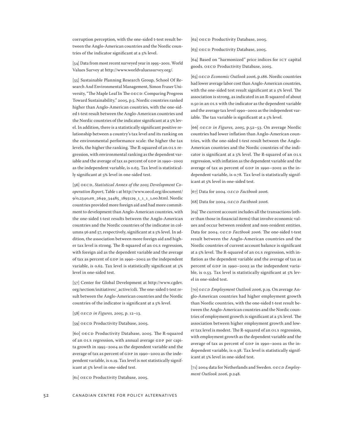corruption perception, with the one-sided t-test result between the Anglo-American countries and the Nordic countries of the indicator significant at a 5% level.

[54] Data from most recent surveyed year in 1995–2001. World Values Survey at http://www.worldvaluessurvey.org/.

[55] Sustainable Planning Research Group, School Of Research And Environmental Management, Simon Fraser University, "The Maple Leaf In The OECD: Comparing Progress Toward Sustainability," 2005, p.5. Nordic countries ranked higher than Anglo-American countries, with the one-sided t-test result between the Anglo-American countries and the Nordic countries of the indicator significant at a 5% level. In addition, there is a statistically significant positive relationship between a country's tax level and its ranking on the environmental performance scale: the higher the tax levels, the higher the ranking. The R-squared of an OLS regression, with environmental ranking as the dependent variable and the average of tax as percent of GDP in 1990–2002 as the independent variable, is 0.63. Tax level is statistically significant at 5% level in one-sided test.

[56] OECD, *Statistical Annex of the 2005 Development Cooperation Report*, Table 1 at http://www.oecd.org/document/ 9/0,2340,en\_2649\_34485\_1893129\_1\_1\_1\_1,00.html. Nordic countries provided more foreign aid and had more commitment to development than Anglo-American countries, with the one-sided t-test results between the Anglo-American countries and the Nordic countries of the indicator in columns 56 and 57, respectively, significant at a 5% level. In addition, the association between more foreign aid and higher tax level is strong. The R-squared of an OLS regression, with foreign aid as the dependent variable and the average of tax as percent of GDP in 1990–2002 as the independent variable, is 0.62. Tax level is statistically significant at 5% level in one-sided test.

[57] Center for Global Development at http://www.cgdev. org/section/initiatives/\_active/cdi. The one-sided t-test result between the Anglo-American countries and the Nordic countries of the indicator is significant at a 5% level.

[58] *OECD in Figures, 2005*, p. 12–13.

[59] OECD Productivity Database, 2005.

[60] OECD Productivity Database, 2005. The R-squared of an OLS regression, with annual average GDP per capita growth in 1995–2004 as the dependent variable and the average of tax as percent of GDP in 1990–2002 as the independent variable, is 0.19. Tax level is not statistically significant at 5% level in one-sided test.

[61] OECD Productivity Database, 2005.

[62] OECD Productivity Database, 2005.

[63] OECD Productivity Database, 2005.

[64] Based on "harmonized" price indices for ICT capital goods. OECD Productivity Database, 2005.

[65] *OECD Economic Outlook 2006*, p.186. Nordic countries had lower average labor cost than Anglo-American countries, with the one-sided test result significant at a 5% level. The association is strong, as indicated in an R-squared of about 0.50 in an OLS with the indicator as the dependent variable and the average tax level 1990–2002 as the independent variable. The tax variable is significant at a 5% level.

[66] *OECD in Figures, 2005*, p.52–53. On average Nordic countries had lower inflation than Anglo-American countries, with the one-sided t-test result between the Anglo-American countries and the Nordic countries of the indicator is significant at a 5% level. The R-squared of an OLS regression, with inflation as the dependent variable and the average of tax as percent of GDP in 1990–2002 as the independent variable, is 0.78. Tax level is statistically significant at 5% level in one-sided test.

[67] Data for 2004. *OECD Factbook 2006.*

[68] Data for 2004. *OECD Factbook 2006.*

[69] The current account includes all the transactions (other than those in financial items) that involve economic values and occur between resident and non-resident entities. Data for 2004. *OECD Factbook 2006.* The one-sided t-test result between the Anglo-American countries and the Nordic countries of current account balance is significant at a 5% level. The R-squared of an OLS regression, with inflation as the dependent variable and the average of tax as percent of GDP in 1990–2002 as the independent variable, is 0.53. Tax level is statistically significant at 5% level in one-sided test.

[70] *OECD Employment Outlook 2006*, p.19. On average Anglo-American countries had higher employment growth than Nordic countries, with the one-sided t-test result between the Anglo-American countries and the Nordic countries of employment growth is significant at a 5% level. The association between higher employment growth and lower tax level is modest. The R-squared of an OLS regression, with employment growth as the dependent variable and the average of tax as percent of GDP in 1990–2002 as the independent variable, is 0.38. Tax level is statistically significant at 5% level in one-sided test.

[71] 2004 data for Netherlands and Sweden. *OECD Employment Outlook 2006*, p.248.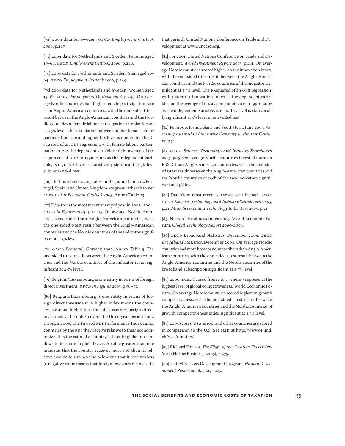[72] 2004 data for Sweden. *OECD Employment Outlook 2006*, p.267.

[73] 2004 data for Netherlands and Sweden. Persons aged 15–64. *OECD Employment Outlook 2006*, p.248.

[74] 2004 data for Netherlands and Sweden. Men aged 15– 64. *OECD Employment Outlook 2006*, p.249.

[75] 2004 data for Netherlands and Sweden. Women aged 15–64. *OECD Employment Outlook 2006*, p.249. On average Nordic countries had higher female participation rate than Anglo-American countries, with the one-sided t-test result between the Anglo-American countries and the Nordic countries of female labour participation rate significant at a 5% level. The association between higher female labour participation rate and higher tax level is moderate. The Rsquared of an OLS regression, with female labour participation rate as the dependent variable and the average of tax as percent of GDP in 1990–2002 as the independent variable, is 0.51. Tax level is statistically significant at 5% level in one-sided test.

[76] The household saving rates for Belgium, Denmark, Portugal, Spain, and United Kingdom are gross rather than net rates. *OECD Economic Outlook 2005*, Annex Table 23.

[77] Data from the most recent surveyed year in 2002–2004. *OECD in Figures 2005*, p.14–15. On average Nordic countries saved more than Anglo-American countries, with the one-sided t-test result between the Anglo-American countries and the Nordic countries of the indicator significant at a 5% level.

[78] *OECD Economic Outlook 2006*, Annex Table 5. The one-sided t-test result between the Anglo-American countries and the Nordic countries of the indicator is not significant at a 5% level.

[79] Belgium/Luxembourg is one entity in terms of foreign direct investment. *OECD in Figures 2005*, p.56–57.

[80] Belgium/Luxembourg is one entity in terms of foreign direct investment. A higher index means the country is ranked higher in terms of attracting foreign direct investment. The index covers the three-year period 2002 through 2004. The Inward FDI Performance Index ranks countries by the FDI they receive relative to their economic size. It is the ratio of a country's share in global FDI inflows to its share in global GDP. A value greater than one indicates that the country receives more FDI than its relative economic size, a value below one that it receives less (a negative value means that foreign investors disinvest in

that period). United Nations Conference on Trade and Development at www.unctad.org.

[81] For 2001. United Nations Conference on Trade and Development, *World Investment Report 2005*, p.114. On average Nordic countries scored higher on the innovation index, with the one-sided t-test result between the Anglo-American countries and the Nordic countries of the indicator significant at a 5% level. The R-squared of an OLS regression, with UNCTAD Innovation Index as the dependent variable and the average of tax as percent of GDP in 1990–2002 as the independent variable, is 0.34. Tax level is statistically significant at 5% level in one-sided test.

[82] For 2000. Joshua Gans and Scott Stern. June 2003. *Assessing Australia's Innovative Capacity in the 21st Century*, p.31.

[83] *OECD Science, Technology and Industry Scoreboard 2005*, p.15. On average Nordic countries invested more on R & D than Anglo-American countries, with the one-sided t-test result between the Anglo-American countries and the Nordic countries of each of the two indicators significant at a 5% level.

[84] Data from most recent surveyed year in 1998–2002. *OECD Science, Technology and Industry Scoreboard 2005*, p.21; *Main Science and Technology Indicators 2005*, p.21.

[85] Network Readiness Index 2005, World Economic Forum, *Global Technology Report 2005–2006*.

[86] OECD Broadband Statistics, December 2004. *OECD Broadband Statistics*, December 2004. On average Nordic countries had more broadband subscribers than Angl0-American countries, with the one-sided t-test result between the Anglo-American countries and the Nordic countries of the broadband subscription significant at a 5% level.

[87] 2006 index. Scored from 1 to 7, where 7 represents the highest level of global competitiveness. World Economic Forum. On average Nordic countries scored higher on growth competitiveness, with the one-sided t-test result between the Anglo-American countries and the Nordic countries of growth competitiveness index significant at a 5% level.

[88] 2005 scores. USA is 100, and other countries are scored in comparison to the U.S. See IMD at http://www01.imd. ch/wcc/ranking/.

[89] Richard Florida, *The Flight of the Creative Class* (New York: HarperBusiness, 2005), p.275.

[90] United Nations Development Program, *Human Development Report 2006*, p.219–225.